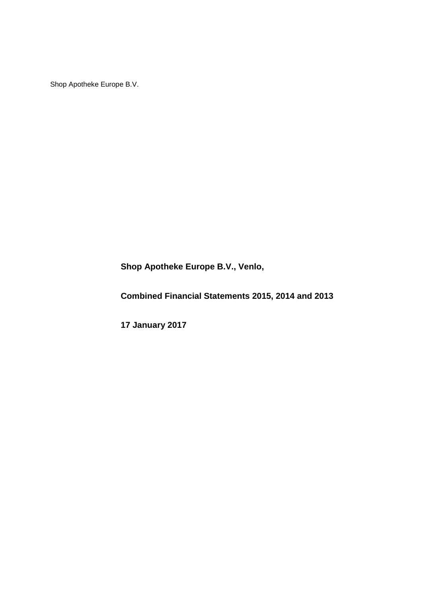**Shop Apotheke Europe B.V., Venlo,**

**Combined Financial Statements 2015, 2014 and 2013** 

**17 January 2017**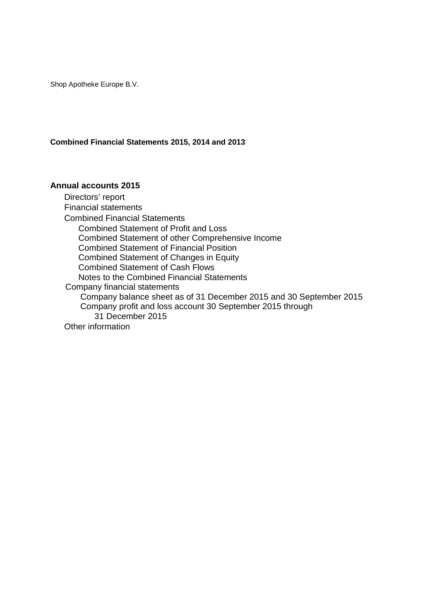### **Combined Financial Statements 2015, 2014 and 2013**

## **Annual accounts 2015**

Directors' report Financial statements Combined Financial Statements Combined Statement of Profit and Loss Combined Statement of other Comprehensive Income Combined Statement of Financial Position Combined Statement of Changes in Equity Combined Statement of Cash Flows Notes to the Combined Financial Statements Company financial statements Company balance sheet as of 31 December 2015 and 30 September 2015 Company profit and loss account 30 September 2015 through 31 December 2015 Other information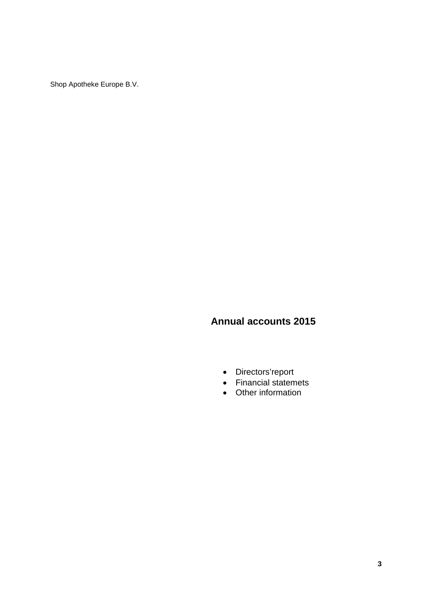# **Annual accounts 2015**

- Directors'report
- Financial statemets
- Other information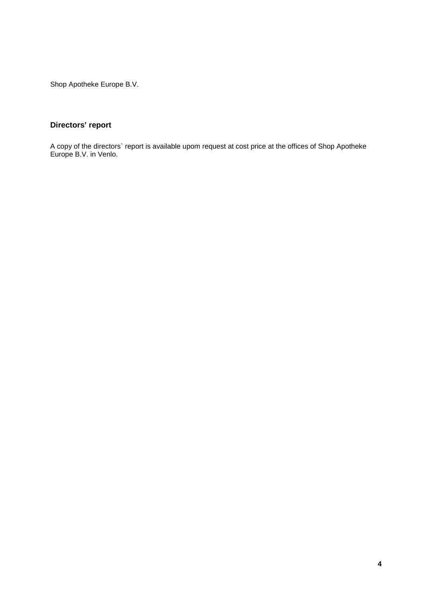# **Directors' report**

A copy of the directors` report is available upom request at cost price at the offices of Shop Apotheke Europe B.V. in Venlo.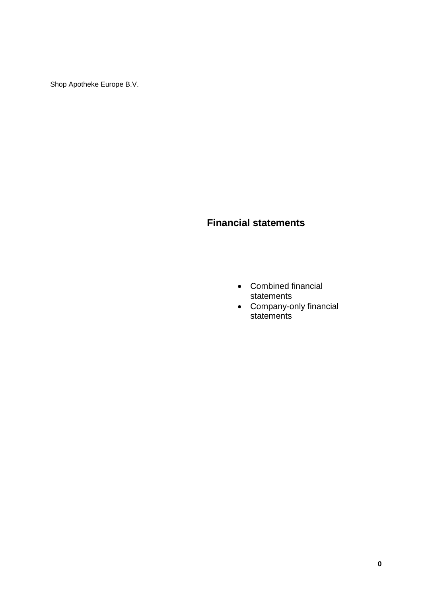# **Financial statements**

- Combined financial statements
- Company-only financial statements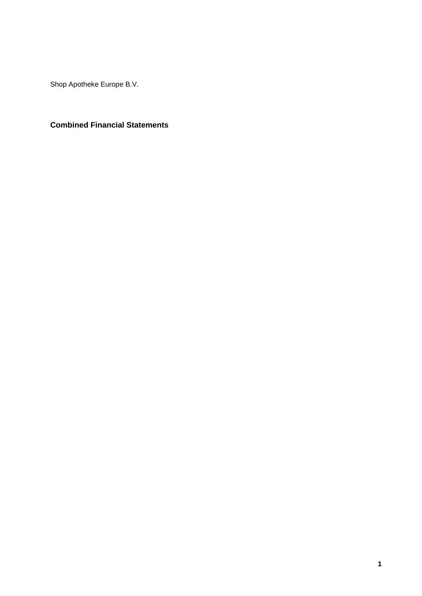# **Combined Financial Statements**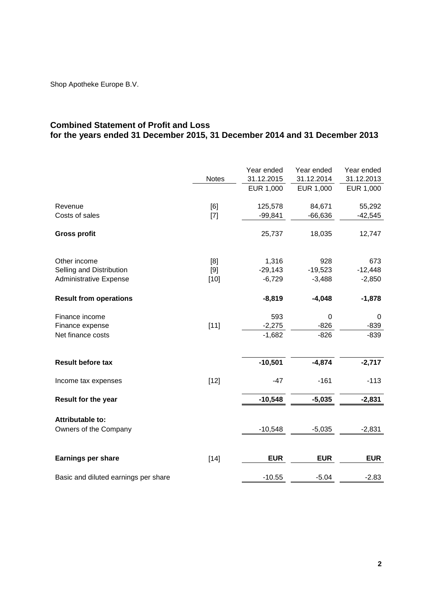# **Combined Statement of Profit and Loss for the years ended 31 December 2015, 31 December 2014 and 31 December 2013**

|                                                                           | <b>Notes</b>           | Year ended<br>31.12.2015<br>EUR 1,000 | Year ended<br>31.12.2014<br>EUR 1,000 | Year ended<br>31.12.2013<br>EUR 1,000 |
|---------------------------------------------------------------------------|------------------------|---------------------------------------|---------------------------------------|---------------------------------------|
| Revenue<br>Costs of sales                                                 | [6]<br>$[7]$           | 125,578<br>$-99,841$                  | 84,671<br>$-66,636$                   | 55,292<br>$-42,545$                   |
| <b>Gross profit</b>                                                       |                        | 25,737                                | 18,035                                | 12,747                                |
| Other income<br>Selling and Distribution<br><b>Administrative Expense</b> | [8]<br>$[9]$<br>$[10]$ | 1,316<br>$-29,143$<br>$-6,729$        | 928<br>$-19,523$<br>$-3,488$          | 673<br>$-12,448$<br>$-2,850$          |
| <b>Result from operations</b>                                             |                        | $-8,819$                              | $-4,048$                              | $-1,878$                              |
| Finance income<br>Finance expense<br>Net finance costs                    | $[11]$                 | 593<br>$-2,275$<br>$-1,682$           | $\mathbf 0$<br>$-826$<br>$-826$       | 0<br>$-839$<br>$-839$                 |
| <b>Result before tax</b>                                                  |                        | $-10,501$                             | $-4,874$                              | $-2,717$                              |
| Income tax expenses                                                       | $[12]$                 | $-47$                                 | $-161$                                | $-113$                                |
| <b>Result for the year</b>                                                |                        | $-10,548$                             | $-5,035$                              | $-2,831$                              |
| Attributable to:<br>Owners of the Company                                 |                        | $-10,548$                             | $-5,035$                              | $-2,831$                              |
| <b>Earnings per share</b>                                                 | $[14]$                 | <b>EUR</b>                            | <b>EUR</b>                            | <b>EUR</b>                            |
| Basic and diluted earnings per share                                      |                        | $-10.55$                              | $-5.04$                               | $-2.83$                               |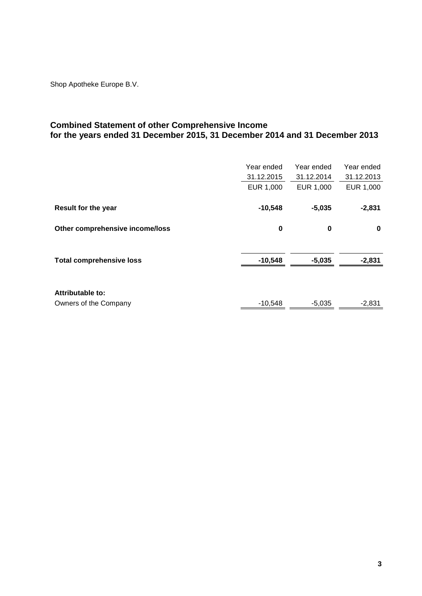## **Combined Statement of other Comprehensive Income for the years ended 31 December 2015, 31 December 2014 and 31 December 2013**

|                                                  | Year ended<br>31.12.2015<br>EUR 1,000 | Year ended<br>31.12.2014<br>EUR 1,000 | Year ended<br>31.12.2013<br>EUR 1,000 |
|--------------------------------------------------|---------------------------------------|---------------------------------------|---------------------------------------|
| <b>Result for the year</b>                       | $-10,548$                             | $-5,035$                              | $-2,831$                              |
| Other comprehensive income/loss                  | 0                                     | 0                                     | 0                                     |
| <b>Total comprehensive loss</b>                  | $-10,548$                             | $-5,035$                              | $-2,831$                              |
| <b>Attributable to:</b><br>Owners of the Company | $-10,548$                             | $-5,035$                              | $-2,831$                              |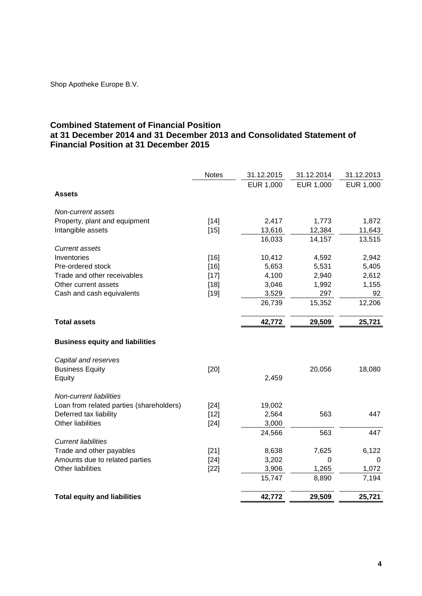## **Combined Statement of Financial Position at 31 December 2014 and 31 December 2013 and Consolidated Statement of Financial Position at 31 December 2015**

|                                          | <b>Notes</b> | 31.12.2015 | 31.12.2014 | 31.12.2013 |
|------------------------------------------|--------------|------------|------------|------------|
|                                          |              | EUR 1,000  | EUR 1,000  | EUR 1,000  |
| Assets                                   |              |            |            |            |
| Non-current assets                       |              |            |            |            |
| Property, plant and equipment            | $[14]$       | 2,417      | 1,773      | 1,872      |
| Intangible assets                        | $[15]$       | 13,616     | 12,384     | 11,643     |
|                                          |              | 16,033     | 14,157     | 13,515     |
| <b>Current assets</b>                    |              |            |            |            |
| Inventories                              | $[16]$       | 10,412     | 4,592      | 2,942      |
| Pre-ordered stock                        | $[16]$       | 5,653      | 5,531      | 5,405      |
| Trade and other receivables              | $[17]$       | 4,100      | 2,940      | 2,612      |
| Other current assets                     | $[18]$       | 3,046      | 1,992      | 1,155      |
| Cash and cash equivalents                | $[19]$       | 3,529      | 297        | 92         |
|                                          |              | 26,739     | 15,352     | 12,206     |
| <b>Total assets</b>                      |              | 42,772     | 29,509     | 25,721     |
| <b>Business equity and liabilities</b>   |              |            |            |            |
| Capital and reserves                     |              |            |            |            |
| <b>Business Equity</b>                   | $[20]$       |            | 20,056     | 18,080     |
| Equity                                   |              | 2,459      |            |            |
| Non-current liabilities                  |              |            |            |            |
| Loan from related parties (shareholders) | $[24]$       | 19,002     |            |            |
| Deferred tax liability                   | $[12]$       | 2,564      | 563        | 447        |
| Other liabilities                        | $[24]$       | 3,000      |            |            |
|                                          |              | 24,566     | 563        | 447        |
| <b>Current liabilities</b>               |              |            |            |            |
| Trade and other payables                 | $[21]$       | 8,638      | 7,625      | 6,122      |
| Amounts due to related parties           | $[24]$       | 3,202      | 0          | 0          |
| Other liabilities                        | $[22]$       | 3,906      | 1,265      | 1,072      |
|                                          |              | 15,747     | 8,890      | 7,194      |
| <b>Total equity and liabilities</b>      |              | 42,772     | 29,509     | 25,721     |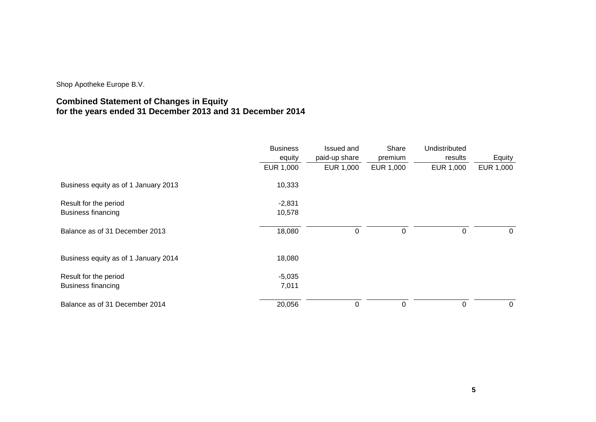# **Combined Statement of Changes in Equity for the years ended 31 December 2013 and 31 December 2014**

|                                                    | <b>Business</b><br>equity<br>EUR 1,000 | <b>Issued and</b><br>paid-up share<br>EUR 1,000 | Share<br>premium<br>EUR 1,000 | Undistributed<br>results<br>EUR 1,000 | Equity<br>EUR 1,000 |
|----------------------------------------------------|----------------------------------------|-------------------------------------------------|-------------------------------|---------------------------------------|---------------------|
| Business equity as of 1 January 2013               | 10,333                                 |                                                 |                               |                                       |                     |
| Result for the period<br><b>Business financing</b> | $-2,831$<br>10,578                     |                                                 |                               |                                       |                     |
| Balance as of 31 December 2013                     | 18,080                                 | 0                                               | 0                             | 0                                     | $\Omega$            |
| Business equity as of 1 January 2014               | 18,080                                 |                                                 |                               |                                       |                     |
| Result for the period<br><b>Business financing</b> | $-5,035$<br>7,011                      |                                                 |                               |                                       |                     |
| Balance as of 31 December 2014                     | 20,056                                 | 0                                               | 0                             | $\Omega$                              | $\Omega$            |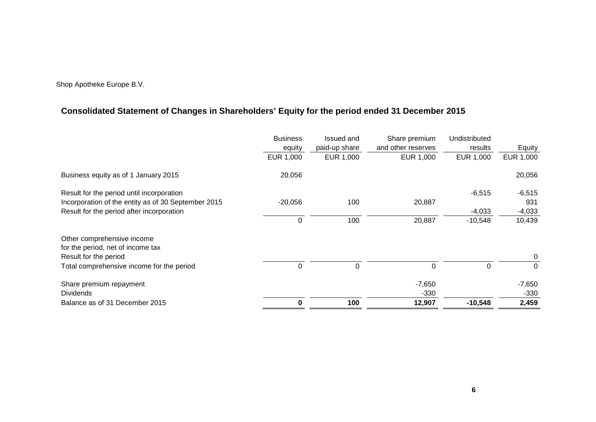# **Consolidated Statement of Changes in Shareholders' Equity for the period ended 31 December 2015**

|                                                     | <b>Business</b><br>equity | Issued and<br>paid-up share | Share premium<br>and other reserves | Undistributed<br>results | Equity    |
|-----------------------------------------------------|---------------------------|-----------------------------|-------------------------------------|--------------------------|-----------|
|                                                     | EUR 1,000                 | EUR 1,000                   | EUR 1,000                           | EUR 1,000                | EUR 1,000 |
| Business equity as of 1 January 2015                | 20,056                    |                             |                                     |                          | 20,056    |
| Result for the period until incorporation           |                           |                             |                                     | $-6,515$                 | $-6,515$  |
| Incorporation of the entity as of 30 September 2015 | $-20,056$                 | 100                         | 20,887                              |                          | 931       |
| Result for the period after incorporation           |                           |                             |                                     | $-4,033$                 | $-4,033$  |
|                                                     | $\mathbf 0$               | 100                         | 20,887                              | $-10,548$                | 10,439    |
| Other comprehensive income                          |                           |                             |                                     |                          |           |
| for the period, net of income tax                   |                           |                             |                                     |                          |           |
| Result for the period                               |                           |                             |                                     |                          | 0         |
| Total comprehensive income for the period           | $\Omega$                  | $\mathbf 0$                 | 0                                   | $\Omega$                 | $\Omega$  |
| Share premium repayment                             |                           |                             | $-7,650$                            |                          | $-7,650$  |
| <b>Dividends</b>                                    |                           |                             | $-330$                              |                          | $-330$    |
| Balance as of 31 December 2015                      |                           | 100                         | 12,907                              | $-10,548$                | 2,459     |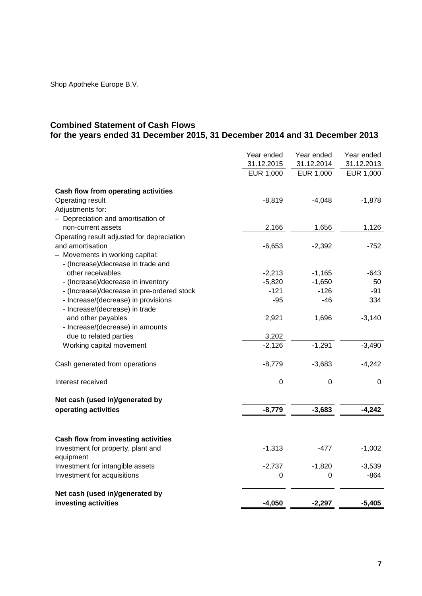# **Combined Statement of Cash Flows for the years ended 31 December 2015, 31 December 2014 and 31 December 2013**

|                                            | Year ended  | Year ended  | Year ended |
|--------------------------------------------|-------------|-------------|------------|
|                                            | 31.12.2015  | 31.12.2014  | 31.12.2013 |
|                                            | EUR 1,000   | EUR 1,000   | EUR 1,000  |
| Cash flow from operating activities        |             |             |            |
| Operating result                           | $-8,819$    | $-4,048$    | $-1,878$   |
| Adjustments for:                           |             |             |            |
| - Depreciation and amortisation of         |             |             |            |
| non-current assets                         | 2,166       | 1,656       | 1,126      |
| Operating result adjusted for depreciation |             |             |            |
| and amortisation                           | $-6,653$    | $-2,392$    | -752       |
| - Movements in working capital:            |             |             |            |
| - (Increase)/decrease in trade and         |             |             |            |
| other receivables                          | $-2,213$    | $-1,165$    | $-643$     |
| - (Increase)/decrease in inventory         | $-5,820$    | $-1,650$    | 50         |
| - (Increase)/decrease in pre-ordered stock | $-121$      | $-126$      | $-91$      |
| - Increase/(decrease) in provisions        | $-95$       | $-46$       | 334        |
| - Increase/(decrease) in trade             |             |             |            |
| and other payables                         | 2,921       | 1,696       | $-3,140$   |
| - Increase/(decrease) in amounts           |             |             |            |
| due to related parties                     | 3,202       |             |            |
| Working capital movement                   | $-2,126$    | $-1,291$    | $-3,490$   |
|                                            |             |             |            |
| Cash generated from operations             | $-8,779$    | $-3,683$    | $-4,242$   |
| Interest received                          | $\mathbf 0$ | $\mathbf 0$ | 0          |
| Net cash (used in)/generated by            |             |             |            |
| operating activities                       | $-8,779$    | $-3,683$    | $-4,242$   |
|                                            |             |             |            |
| Cash flow from investing activities        |             |             |            |
| Investment for property, plant and         | $-1,313$    | $-477$      | $-1,002$   |
| equipment                                  |             |             |            |
| Investment for intangible assets           | $-2,737$    | $-1,820$    | $-3,539$   |
| Investment for acquisitions                | 0           | 0           | $-864$     |
| Net cash (used in)/generated by            |             |             |            |
| investing activities                       | $-4,050$    | $-2,297$    | $-5,405$   |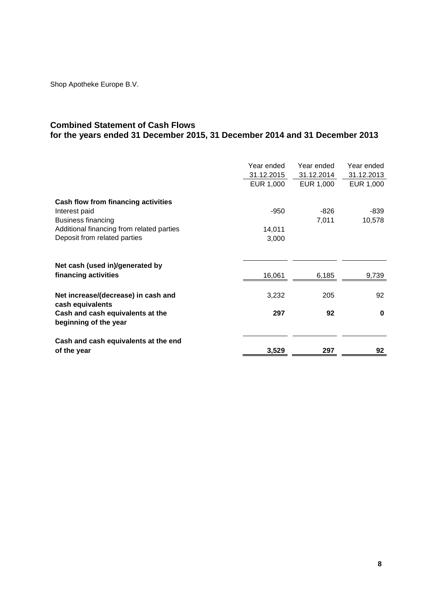# **Combined Statement of Cash Flows for the years ended 31 December 2015, 31 December 2014 and 31 December 2013**

|                                                                                                                                                                | Year ended<br>31.12.2015<br>EUR 1,000 | Year ended<br>31.12.2014<br>EUR 1,000 | Year ended<br>31.12.2013<br>EUR 1,000 |
|----------------------------------------------------------------------------------------------------------------------------------------------------------------|---------------------------------------|---------------------------------------|---------------------------------------|
| Cash flow from financing activities<br>Interest paid<br><b>Business financing</b><br>Additional financing from related parties<br>Deposit from related parties | $-950$<br>14,011<br>3,000             | -826<br>7,011                         | -839<br>10,578                        |
| Net cash (used in)/generated by<br>financing activities                                                                                                        | 16,061                                | 6,185                                 | 9,739                                 |
| Net increase/(decrease) in cash and<br>cash equivalents                                                                                                        | 3,232                                 | 205                                   | 92                                    |
| Cash and cash equivalents at the<br>beginning of the year                                                                                                      | 297                                   | 92                                    | 0                                     |
| Cash and cash equivalents at the end<br>of the year                                                                                                            | 3,529                                 | 297                                   | 92                                    |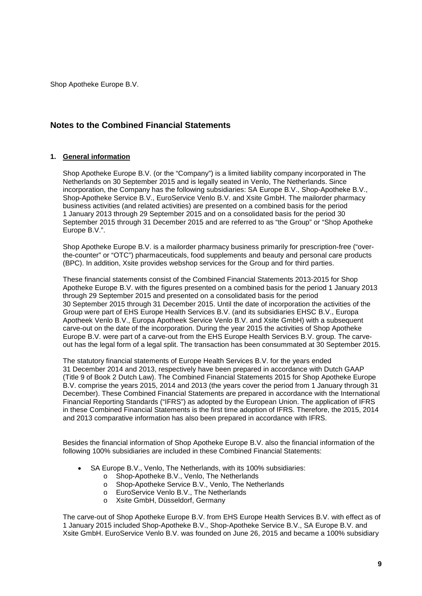## **Notes to the Combined Financial Statements**

#### **1. General information**

Shop Apotheke Europe B.V. (or the "Company") is a limited liability company incorporated in The Netherlands on 30 September 2015 and is legally seated in Venlo, The Netherlands. Since incorporation, the Company has the following subsidiaries: SA Europe B.V., Shop-Apotheke B.V., Shop-Apotheke Service B.V., EuroService Venlo B.V. and Xsite GmbH. The mailorder pharmacy business activities (and related activities) are presented on a combined basis for the period 1 January 2013 through 29 September 2015 and on a consolidated basis for the period 30 September 2015 through 31 December 2015 and are referred to as "the Group" or "Shop Apotheke Europe B.V.".

Shop Apotheke Europe B.V. is a mailorder pharmacy business primarily for prescription-free ("overthe-counter" or "OTC") pharmaceuticals, food supplements and beauty and personal care products (BPC). In addition, Xsite provides webshop services for the Group and for third parties.

These financial statements consist of the Combined Financial Statements 2013-2015 for Shop Apotheke Europe B.V. with the figures presented on a combined basis for the period 1 January 2013 through 29 September 2015 and presented on a consolidated basis for the period 30 September 2015 through 31 December 2015. Until the date of incorporation the activities of the Group were part of EHS Europe Health Services B.V. (and its subsidiaries EHSC B.V., Europa Apotheek Venlo B.V., Europa Apotheek Service Venlo B.V. and Xsite GmbH) with a subsequent carve-out on the date of the incorporation. During the year 2015 the activities of Shop Apotheke Europe B.V. were part of a carve-out from the EHS Europe Health Services B.V. group. The carveout has the legal form of a legal split. The transaction has been consummated at 30 September 2015.

The statutory financial statements of Europe Health Services B.V. for the years ended 31 December 2014 and 2013, respectively have been prepared in accordance with Dutch GAAP (Title 9 of Book 2 Dutch Law). The Combined Financial Statements 2015 for Shop Apotheke Europe B.V. comprise the years 2015, 2014 and 2013 (the years cover the period from 1 January through 31 December). These Combined Financial Statements are prepared in accordance with the International Financial Reporting Standards ("IFRS") as adopted by the European Union. The application of IFRS in these Combined Financial Statements is the first time adoption of IFRS. Therefore, the 2015, 2014 and 2013 comparative information has also been prepared in accordance with IFRS.

Besides the financial information of Shop Apotheke Europe B.V. also the financial information of the following 100% subsidiaries are included in these Combined Financial Statements:

- SA Europe B.V., Venlo, The Netherlands, with its 100% subsidiaries:
	- o Shop-Apotheke B.V., Venlo, The Netherlands
	- o Shop-Apotheke Service B.V., Venlo, The Netherlands
	- o EuroService Venlo B.V., The Netherlands
	- o Xsite GmbH, Düsseldorf, Germany

The carve-out of Shop Apotheke Europe B.V. from EHS Europe Health Services B.V. with effect as of 1 January 2015 included Shop-Apotheke B.V., Shop-Apotheke Service B.V., SA Europe B.V. and Xsite GmbH. EuroService Venlo B.V. was founded on June 26, 2015 and became a 100% subsidiary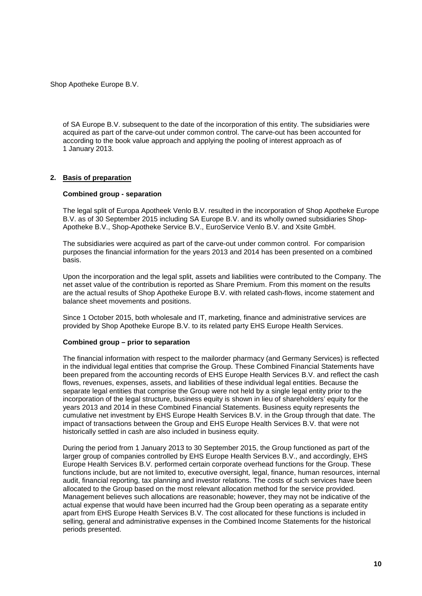of SA Europe B.V. subsequent to the date of the incorporation of this entity. The subsidiaries were acquired as part of the carve-out under common control. The carve-out has been accounted for according to the book value approach and applying the pooling of interest approach as of 1 January 2013.

#### **2. Basis of preparation**

#### **Combined group - separation**

The legal split of Europa Apotheek Venlo B.V. resulted in the incorporation of Shop Apotheke Europe B.V. as of 30 September 2015 including SA Europe B.V. and its wholly owned subsidiaries Shop-Apotheke B.V., Shop-Apotheke Service B.V., EuroService Venlo B.V. and Xsite GmbH.

The subsidiaries were acquired as part of the carve-out under common control. For comparision purposes the financial information for the years 2013 and 2014 has been presented on a combined basis.

Upon the incorporation and the legal split, assets and liabilities were contributed to the Company. The net asset value of the contribution is reported as Share Premium. From this moment on the results are the actual results of Shop Apotheke Europe B.V. with related cash-flows, income statement and balance sheet movements and positions.

Since 1 October 2015, both wholesale and IT, marketing, finance and administrative services are provided by Shop Apotheke Europe B.V. to its related party EHS Europe Health Services.

#### **Combined group – prior to separation**

The financial information with respect to the mailorder pharmacy (and Germany Services) is reflected in the individual legal entities that comprise the Group. These Combined Financial Statements have been prepared from the accounting records of EHS Europe Health Services B.V. and reflect the cash flows, revenues, expenses, assets, and liabilities of these individual legal entities. Because the separate legal entities that comprise the Group were not held by a single legal entity prior to the incorporation of the legal structure, business equity is shown in lieu of shareholders' equity for the years 2013 and 2014 in these Combined Financial Statements. Business equity represents the cumulative net investment by EHS Europe Health Services B.V. in the Group through that date. The impact of transactions between the Group and EHS Europe Health Services B.V. that were not historically settled in cash are also included in business equity.

During the period from 1 January 2013 to 30 September 2015, the Group functioned as part of the larger group of companies controlled by EHS Europe Health Services B.V., and accordingly, EHS Europe Health Services B.V. performed certain corporate overhead functions for the Group. These functions include, but are not limited to, executive oversight, legal, finance, human resources, internal audit, financial reporting, tax planning and investor relations. The costs of such services have been allocated to the Group based on the most relevant allocation method for the service provided. Management believes such allocations are reasonable; however, they may not be indicative of the actual expense that would have been incurred had the Group been operating as a separate entity apart from EHS Europe Health Services B.V. The cost allocated for these functions is included in selling, general and administrative expenses in the Combined Income Statements for the historical periods presented.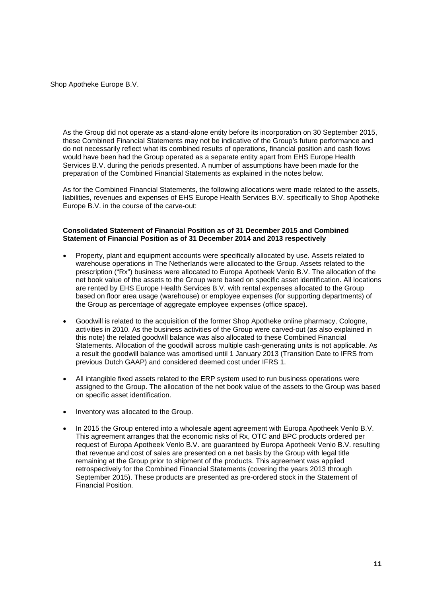As the Group did not operate as a stand-alone entity before its incorporation on 30 September 2015, these Combined Financial Statements may not be indicative of the Group's future performance and do not necessarily reflect what its combined results of operations, financial position and cash flows would have been had the Group operated as a separate entity apart from EHS Europe Health Services B.V. during the periods presented. A number of assumptions have been made for the preparation of the Combined Financial Statements as explained in the notes below.

As for the Combined Financial Statements, the following allocations were made related to the assets, liabilities, revenues and expenses of EHS Europe Health Services B.V. specifically to Shop Apotheke Europe B.V. in the course of the carve-out:

#### **Consolidated Statement of Financial Position as of 31 December 2015 and Combined Statement of Financial Position as of 31 December 2014 and 2013 respectively**

- Property, plant and equipment accounts were specifically allocated by use. Assets related to warehouse operations in The Netherlands were allocated to the Group. Assets related to the prescription ("Rx") business were allocated to Europa Apotheek Venlo B.V. The allocation of the net book value of the assets to the Group were based on specific asset identification. All locations are rented by EHS Europe Health Services B.V. with rental expenses allocated to the Group based on floor area usage (warehouse) or employee expenses (for supporting departments) of the Group as percentage of aggregate employee expenses (office space).
- Goodwill is related to the acquisition of the former Shop Apotheke online pharmacy, Cologne, activities in 2010. As the business activities of the Group were carved-out (as also explained in this note) the related goodwill balance was also allocated to these Combined Financial Statements. Allocation of the goodwill across multiple cash-generating units is not applicable. As a result the goodwill balance was amortised until 1 January 2013 (Transition Date to IFRS from previous Dutch GAAP) and considered deemed cost under IFRS 1.
- All intangible fixed assets related to the ERP system used to run business operations were assigned to the Group. The allocation of the net book value of the assets to the Group was based on specific asset identification.
- Inventory was allocated to the Group.
- In 2015 the Group entered into a wholesale agent agreement with Europa Apotheek Venlo B.V. This agreement arranges that the economic risks of Rx, OTC and BPC products ordered per request of Europa Apotheek Venlo B.V. are guaranteed by Europa Apotheek Venlo B.V. resulting that revenue and cost of sales are presented on a net basis by the Group with legal title remaining at the Group prior to shipment of the products. This agreement was applied retrospectively for the Combined Financial Statements (covering the years 2013 through September 2015). These products are presented as pre-ordered stock in the Statement of Financial Position.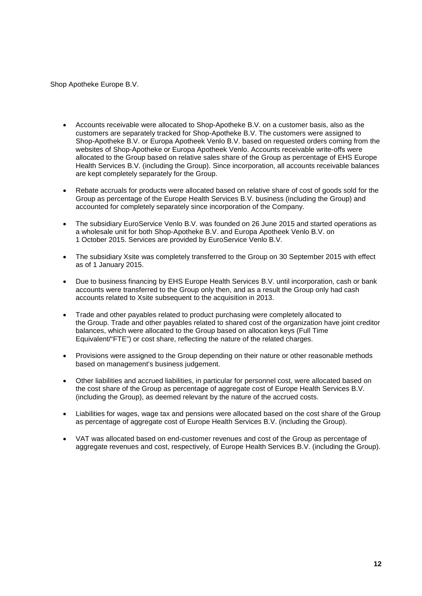- Accounts receivable were allocated to Shop-Apotheke B.V. on a customer basis, also as the customers are separately tracked for Shop-Apotheke B.V. The customers were assigned to Shop-Apotheke B.V. or Europa Apotheek Venlo B.V. based on requested orders coming from the websites of Shop-Apotheke or Europa Apotheek Venlo. Accounts receivable write-offs were allocated to the Group based on relative sales share of the Group as percentage of EHS Europe Health Services B.V. (including the Group). Since incorporation, all accounts receivable balances are kept completely separately for the Group.
- Rebate accruals for products were allocated based on relative share of cost of goods sold for the Group as percentage of the Europe Health Services B.V. business (including the Group) and accounted for completely separately since incorporation of the Company.
- The subsidiary EuroService Venlo B.V. was founded on 26 June 2015 and started operations as a wholesale unit for both Shop-Apotheke B.V. and Europa Apotheek Venlo B.V. on 1 October 2015. Services are provided by EuroService Venlo B.V.
- The subsidiary Xsite was completely transferred to the Group on 30 September 2015 with effect as of 1 January 2015.
- Due to business financing by EHS Europe Health Services B.V. until incorporation, cash or bank accounts were transferred to the Group only then, and as a result the Group only had cash accounts related to Xsite subsequent to the acquisition in 2013.
- Trade and other payables related to product purchasing were completely allocated to the Group. Trade and other payables related to shared cost of the organization have joint creditor balances, which were allocated to the Group based on allocation keys (Full Time Equivalent/"FTE") or cost share, reflecting the nature of the related charges.
- Provisions were assigned to the Group depending on their nature or other reasonable methods based on management's business judgement.
- Other liabilities and accrued liabilities, in particular for personnel cost, were allocated based on the cost share of the Group as percentage of aggregate cost of Europe Health Services B.V. (including the Group), as deemed relevant by the nature of the accrued costs.
- Liabilities for wages, wage tax and pensions were allocated based on the cost share of the Group as percentage of aggregate cost of Europe Health Services B.V. (including the Group).
- VAT was allocated based on end-customer revenues and cost of the Group as percentage of aggregate revenues and cost, respectively, of Europe Health Services B.V. (including the Group).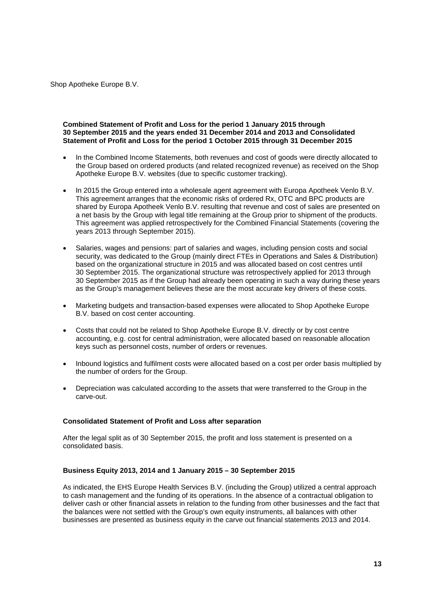#### **Combined Statement of Profit and Loss for the period 1 January 2015 through 30 September 2015 and the years ended 31 December 2014 and 2013 and Consolidated Statement of Profit and Loss for the period 1 October 2015 through 31 December 2015**

- In the Combined Income Statements, both revenues and cost of goods were directly allocated to the Group based on ordered products (and related recognized revenue) as received on the Shop Apotheke Europe B.V. websites (due to specific customer tracking).
- In 2015 the Group entered into a wholesale agent agreement with Europa Apotheek Venlo B.V. This agreement arranges that the economic risks of ordered Rx, OTC and BPC products are shared by Europa Apotheek Venlo B.V. resulting that revenue and cost of sales are presented on a net basis by the Group with legal title remaining at the Group prior to shipment of the products. This agreement was applied retrospectively for the Combined Financial Statements (covering the years 2013 through September 2015).
- Salaries, wages and pensions: part of salaries and wages, including pension costs and social security, was dedicated to the Group (mainly direct FTEs in Operations and Sales & Distribution) based on the organizational structure in 2015 and was allocated based on cost centres until 30 September 2015. The organizational structure was retrospectively applied for 2013 through 30 September 2015 as if the Group had already been operating in such a way during these years as the Group's management believes these are the most accurate key drivers of these costs.
- Marketing budgets and transaction-based expenses were allocated to Shop Apotheke Europe B.V. based on cost center accounting.
- Costs that could not be related to Shop Apotheke Europe B.V. directly or by cost centre accounting, e.g. cost for central administration, were allocated based on reasonable allocation keys such as personnel costs, number of orders or revenues.
- Inbound logistics and fulfilment costs were allocated based on a cost per order basis multiplied by the number of orders for the Group.
- Depreciation was calculated according to the assets that were transferred to the Group in the carve-out.

#### **Consolidated Statement of Profit and Loss after separation**

After the legal split as of 30 September 2015, the profit and loss statement is presented on a consolidated basis.

#### **Business Equity 2013, 2014 and 1 January 2015 – 30 September 2015**

As indicated, the EHS Europe Health Services B.V. (including the Group) utilized a central approach to cash management and the funding of its operations. In the absence of a contractual obligation to deliver cash or other financial assets in relation to the funding from other businesses and the fact that the balances were not settled with the Group's own equity instruments, all balances with other businesses are presented as business equity in the carve out financial statements 2013 and 2014.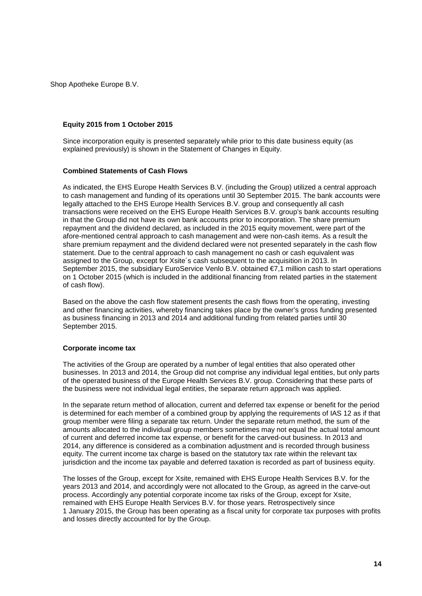#### **Equity 2015 from 1 October 2015**

Since incorporation equity is presented separately while prior to this date business equity (as explained previously) is shown in the Statement of Changes in Equity.

#### **Combined Statements of Cash Flows**

As indicated, the EHS Europe Health Services B.V. (including the Group) utilized a central approach to cash management and funding of its operations until 30 September 2015. The bank accounts were legally attached to the EHS Europe Health Services B.V. group and consequently all cash transactions were received on the EHS Europe Health Services B.V. group's bank accounts resulting in that the Group did not have its own bank accounts prior to incorporation. The share premium repayment and the dividend declared, as included in the 2015 equity movement, were part of the afore-mentioned central approach to cash management and were non-cash items. As a result the share premium repayment and the dividend declared were not presented separately in the cash flow statement. Due to the central approach to cash management no cash or cash equivalent was assigned to the Group, except for Xsite´s cash subsequent to the acquisition in 2013. In September 2015, the subsidiary EuroService Venlo B.V. obtained €7,1 million cash to start operations on 1 October 2015 (which is included in the additional financing from related parties in the statement of cash flow).

Based on the above the cash flow statement presents the cash flows from the operating, investing and other financing activities, whereby financing takes place by the owner's gross funding presented as business financing in 2013 and 2014 and additional funding from related parties until 30 September 2015.

#### **Corporate income tax**

The activities of the Group are operated by a number of legal entities that also operated other businesses. In 2013 and 2014, the Group did not comprise any individual legal entities, but only parts of the operated business of the Europe Health Services B.V. group. Considering that these parts of the business were not individual legal entities, the separate return approach was applied.

In the separate return method of allocation, current and deferred tax expense or benefit for the period is determined for each member of a combined group by applying the requirements of IAS 12 as if that group member were filing a separate tax return. Under the separate return method, the sum of the amounts allocated to the individual group members sometimes may not equal the actual total amount of current and deferred income tax expense, or benefit for the carved-out business. In 2013 and 2014, any difference is considered as a combination adjustment and is recorded through business equity. The current income tax charge is based on the statutory tax rate within the relevant tax jurisdiction and the income tax payable and deferred taxation is recorded as part of business equity.

The losses of the Group, except for Xsite, remained with EHS Europe Health Services B.V. for the years 2013 and 2014, and accordingly were not allocated to the Group, as agreed in the carve-out process. Accordingly any potential corporate income tax risks of the Group, except for Xsite, remained with EHS Europe Health Services B.V. for those years. Retrospectively since 1 January 2015, the Group has been operating as a fiscal unity for corporate tax purposes with profits and losses directly accounted for by the Group.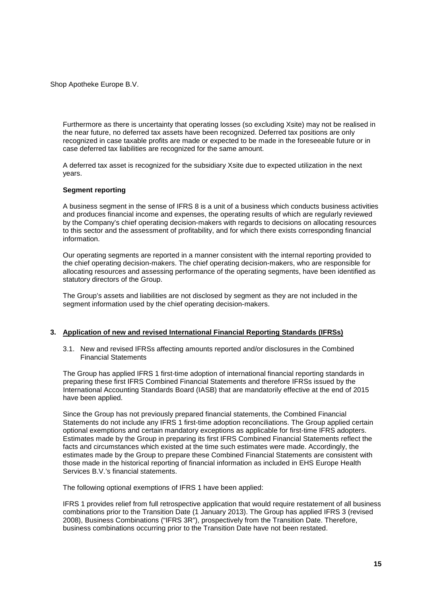Furthermore as there is uncertainty that operating losses (so excluding Xsite) may not be realised in the near future, no deferred tax assets have been recognized. Deferred tax positions are only recognized in case taxable profits are made or expected to be made in the foreseeable future or in case deferred tax liabilities are recognized for the same amount.

A deferred tax asset is recognized for the subsidiary Xsite due to expected utilization in the next years.

#### **Segment reporting**

A business segment in the sense of IFRS 8 is a unit of a business which conducts business activities and produces financial income and expenses, the operating results of which are regularly reviewed by the Company's chief operating decision-makers with regards to decisions on allocating resources to this sector and the assessment of profitability, and for which there exists corresponding financial information.

Our operating segments are reported in a manner consistent with the internal reporting provided to the chief operating decision-makers. The chief operating decision-makers, who are responsible for allocating resources and assessing performance of the operating segments, have been identified as statutory directors of the Group.

The Group's assets and liabilities are not disclosed by segment as they are not included in the segment information used by the chief operating decision-makers.

#### **3. Application of new and revised International Financial Reporting Standards (IFRSs)**

3.1. New and revised IFRSs affecting amounts reported and/or disclosures in the Combined Financial Statements

The Group has applied IFRS 1 first-time adoption of international financial reporting standards in preparing these first IFRS Combined Financial Statements and therefore IFRSs issued by the International Accounting Standards Board (IASB) that are mandatorily effective at the end of 2015 have been applied.

Since the Group has not previously prepared financial statements, the Combined Financial Statements do not include any IFRS 1 first-time adoption reconciliations. The Group applied certain optional exemptions and certain mandatory exceptions as applicable for first-time IFRS adopters. Estimates made by the Group in preparing its first IFRS Combined Financial Statements reflect the facts and circumstances which existed at the time such estimates were made. Accordingly, the estimates made by the Group to prepare these Combined Financial Statements are consistent with those made in the historical reporting of financial information as included in EHS Europe Health Services B.V.'s financial statements.

The following optional exemptions of IFRS 1 have been applied:

IFRS 1 provides relief from full retrospective application that would require restatement of all business combinations prior to the Transition Date (1 January 2013). The Group has applied IFRS 3 (revised 2008), Business Combinations ("IFRS 3R"), prospectively from the Transition Date. Therefore, business combinations occurring prior to the Transition Date have not been restated.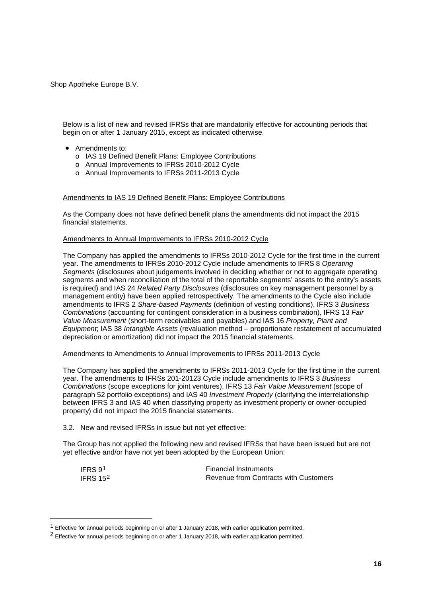Below is a list of new and revised IFRSs that are mandatorily effective for accounting periods that begin on or after 1 January 2015, except as indicated otherwise.

• Amendments to:

<u>.</u>

- o IAS 19 Defined Benefit Plans: Employee Contributions
- o Annual Improvements to IFRSs 2010-2012 Cycle
- o Annual Improvements to IFRSs 2011-2013 Cycle

#### Amendments to IAS 19 Defined Benefit Plans: Employee Contributions

As the Company does not have defined benefit plans the amendments did not impact the 2015 financial statements.

#### Amendments to Annual Improvements to IFRSs 2010-2012 Cycle

The Company has applied the amendments to IFRSs 2010-2012 Cycle for the first time in the current year. The amendments to IFRSs 2010-2012 Cycle include amendments to IFRS 8 *Operating Segments* (disclosures about judgements involved in deciding whether or not to aggregate operating segments and when reconciliation of the total of the reportable segments' assets to the entity's assets is required) and IAS 24 *Related Party Disclosures* (disclosures on key management personnel by a management entity) have been applied retrospectively. The amendments to the Cycle also include amendments to IFRS 2 *Share-based Payments* (definition of vesting conditions), IFRS 3 *Business Combinations* (accounting for contingent consideration in a business combination), IFRS 13 *Fair Value Measurement* (short-term receivables and payables) and IAS 16 *Property, Plant and Equipment*; IAS 38 *Intangible Assets* (revaluation method – proportionate restatement of accumulated depreciation or amortization) did not impact the 2015 financial statements.

#### Amendments to Amendments to Annual Improvements to IFRSs 2011-2013 Cycle

The Company has applied the amendments to IFRSs 2011-2013 Cycle for the first time in the current year. The amendments to IFRSs 201-20123 Cycle include amendments to IFRS 3 *Business Combinations* (scope exceptions for joint ventures), IFRS 13 *Fair Value Measurement* (scope of paragraph 52 portfolio exceptions) and IAS 40 *Investment Property* (clarifying the interrelationship between IFRS 3 and IAS 40 when classifying property as investment property or owner-occupied property) did not impact the 2015 financial statements.

3.2. New and revised IFRSs in issue but not yet effective:

The Group has not applied the following new and revised IFRSs that have been issued but are not yet effective and/or have not yet been adopted by the European Union:

| IFRS $91$  | <b>Financial Instruments</b>          |
|------------|---------------------------------------|
| IFRS $152$ | Revenue from Contracts with Customers |

<span id="page-20-0"></span><sup>1</sup> Effective for annual periods beginning on or after 1 January 2018, with earlier application permitted.

<span id="page-20-1"></span><sup>2</sup> Effective for annual periods beginning on or after 1 January 2018, with earlier application permitted.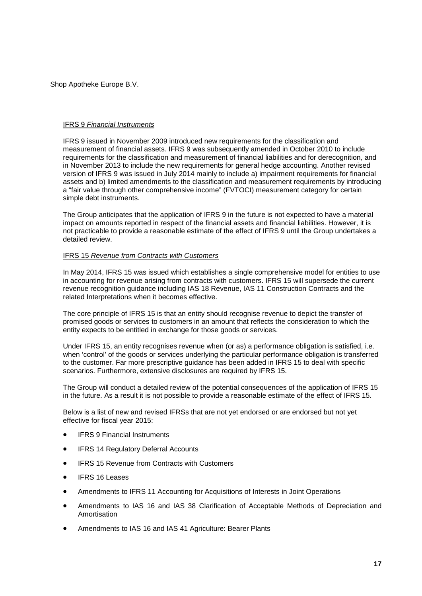#### IFRS 9 *Financial Instruments*

IFRS 9 issued in November 2009 introduced new requirements for the classification and measurement of financial assets. IFRS 9 was subsequently amended in October 2010 to include requirements for the classification and measurement of financial liabilities and for derecognition, and in November 2013 to include the new requirements for general hedge accounting. Another revised version of IFRS 9 was issued in July 2014 mainly to include a) impairment requirements for financial assets and b) limited amendments to the classification and measurement requirements by introducing a "fair value through other comprehensive income" (FVTOCI) measurement category for certain simple debt instruments.

The Group anticipates that the application of IFRS 9 in the future is not expected to have a material impact on amounts reported in respect of the financial assets and financial liabilities. However, it is not practicable to provide a reasonable estimate of the effect of IFRS 9 until the Group undertakes a detailed review.

#### IFRS 15 *Revenue from Contracts with Customers*

In May 2014, IFRS 15 was issued which establishes a single comprehensive model for entities to use in accounting for revenue arising from contracts with customers. IFRS 15 will supersede the current revenue recognition guidance including IAS 18 Revenue, IAS 11 Construction Contracts and the related Interpretations when it becomes effective.

The core principle of IFRS 15 is that an entity should recognise revenue to depict the transfer of promised goods or services to customers in an amount that reflects the consideration to which the entity expects to be entitled in exchange for those goods or services.

Under IFRS 15, an entity recognises revenue when (or as) a performance obligation is satisfied, i.e. when 'control' of the goods or services underlying the particular performance obligation is transferred to the customer. Far more prescriptive guidance has been added in IFRS 15 to deal with specific scenarios. Furthermore, extensive disclosures are required by IFRS 15.

The Group will conduct a detailed review of the potential consequences of the application of IFRS 15 in the future. As a result it is not possible to provide a reasonable estimate of the effect of IFRS 15.

Below is a list of new and revised IFRSs that are not yet endorsed or are endorsed but not yet effective for fiscal year 2015:

- IFRS 9 Financial Instruments
- IFRS 14 Regulatory Deferral Accounts
- IFRS 15 Revenue from Contracts with Customers
- **IFRS 16 Leases**
- Amendments to IFRS 11 Accounting for Acquisitions of Interests in Joint Operations
- Amendments to IAS 16 and IAS 38 Clarification of Acceptable Methods of Depreciation and Amortisation
- Amendments to IAS 16 and IAS 41 Agriculture: Bearer Plants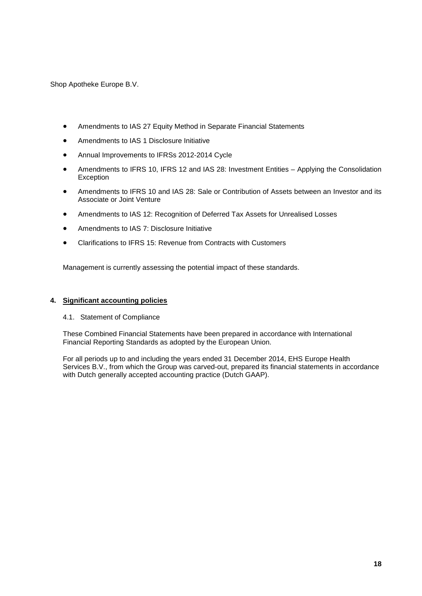- Amendments to IAS 27 Equity Method in Separate Financial Statements
- Amendments to IAS 1 Disclosure Initiative
- Annual Improvements to IFRSs 2012-2014 Cycle
- Amendments to IFRS 10, IFRS 12 and IAS 28: Investment Entities Applying the Consolidation Exception
- Amendments to IFRS 10 and IAS 28: Sale or Contribution of Assets between an Investor and its Associate or Joint Venture
- Amendments to IAS 12: Recognition of Deferred Tax Assets for Unrealised Losses
- Amendments to IAS 7: Disclosure Initiative
- Clarifications to IFRS 15: Revenue from Contracts with Customers

Management is currently assessing the potential impact of these standards.

#### **4. Significant accounting policies**

#### 4.1. Statement of Compliance

These Combined Financial Statements have been prepared in accordance with International Financial Reporting Standards as adopted by the European Union.

For all periods up to and including the years ended 31 December 2014, EHS Europe Health Services B.V., from which the Group was carved-out, prepared its financial statements in accordance with Dutch generally accepted accounting practice (Dutch GAAP).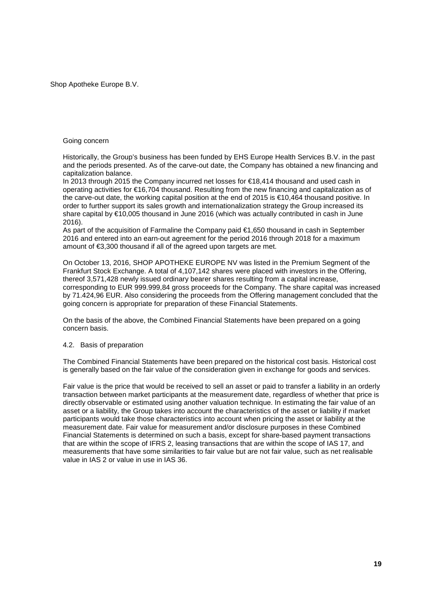#### Going concern

Historically, the Group's business has been funded by EHS Europe Health Services B.V. in the past and the periods presented. As of the carve-out date, the Company has obtained a new financing and capitalization balance.

In 2013 through 2015 the Company incurred net losses for €18,414 thousand and used cash in operating activities for €16,704 thousand. Resulting from the new financing and capitalization as of the carve-out date, the working capital position at the end of 2015 is €10,464 thousand positive. In order to further support its sales growth and internationalization strategy the Group increased its share capital by €10,005 thousand in June 2016 (which was actually contributed in cash in June 2016).

As part of the acquisition of Farmaline the Company paid €1,650 thousand in cash in September 2016 and entered into an earn-out agreement for the period 2016 through 2018 for a maximum amount of €3,300 thousand if all of the agreed upon targets are met.

On October 13, 2016, SHOP APOTHEKE EUROPE NV was listed in the Premium Segment of the Frankfurt Stock Exchange. A total of 4,107,142 shares were placed with investors in the Offering, thereof 3,571,428 newly issued ordinary bearer shares resulting from a capital increase, corresponding to EUR 999.999,84 gross proceeds for the Company. The share capital was increased by 71.424,96 EUR. Also considering the proceeds from the Offering management concluded that the going concern is appropriate for preparation of these Financial Statements.

On the basis of the above, the Combined Financial Statements have been prepared on a going concern basis.

#### 4.2. Basis of preparation

The Combined Financial Statements have been prepared on the historical cost basis. Historical cost is generally based on the fair value of the consideration given in exchange for goods and services.

Fair value is the price that would be received to sell an asset or paid to transfer a liability in an orderly transaction between market participants at the measurement date, regardless of whether that price is directly observable or estimated using another valuation technique. In estimating the fair value of an asset or a liability, the Group takes into account the characteristics of the asset or liability if market participants would take those characteristics into account when pricing the asset or liability at the measurement date. Fair value for measurement and/or disclosure purposes in these Combined Financial Statements is determined on such a basis, except for share-based payment transactions that are within the scope of IFRS 2, leasing transactions that are within the scope of IAS 17, and measurements that have some similarities to fair value but are not fair value, such as net realisable value in IAS 2 or value in use in IAS 36.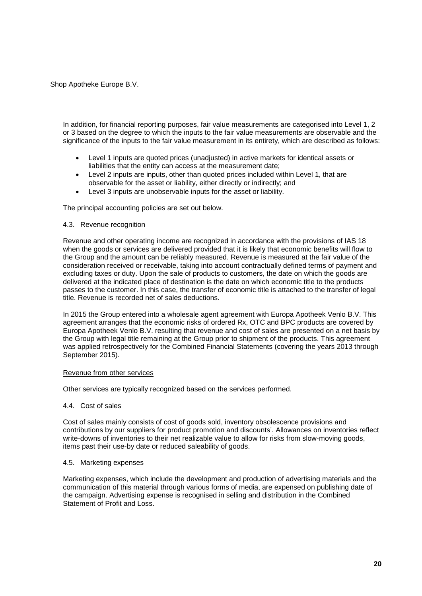In addition, for financial reporting purposes, fair value measurements are categorised into Level 1, 2 or 3 based on the degree to which the inputs to the fair value measurements are observable and the significance of the inputs to the fair value measurement in its entirety, which are described as follows:

- Level 1 inputs are quoted prices (unadjusted) in active markets for identical assets or liabilities that the entity can access at the measurement date;
- Level 2 inputs are inputs, other than quoted prices included within Level 1, that are observable for the asset or liability, either directly or indirectly; and
- Level 3 inputs are unobservable inputs for the asset or liability.

The principal accounting policies are set out below.

#### 4.3. Revenue recognition

Revenue and other operating income are recognized in accordance with the provisions of IAS 18 when the goods or services are delivered provided that it is likely that economic benefits will flow to the Group and the amount can be reliably measured. Revenue is measured at the fair value of the consideration received or receivable, taking into account contractually defined terms of payment and excluding taxes or duty. Upon the sale of products to customers, the date on which the goods are delivered at the indicated place of destination is the date on which economic title to the products passes to the customer. In this case, the transfer of economic title is attached to the transfer of legal title. Revenue is recorded net of sales deductions.

In 2015 the Group entered into a wholesale agent agreement with Europa Apotheek Venlo B.V. This agreement arranges that the economic risks of ordered Rx, OTC and BPC products are covered by Europa Apotheek Venlo B.V. resulting that revenue and cost of sales are presented on a net basis by the Group with legal title remaining at the Group prior to shipment of the products. This agreement was applied retrospectively for the Combined Financial Statements (covering the years 2013 through September 2015).

#### Revenue from other services

Other services are typically recognized based on the services performed.

#### 4.4. Cost of sales

Cost of sales mainly consists of cost of goods sold, inventory obsolescence provisions and contributions by our suppliers for product promotion and discounts'. Allowances on inventories reflect write-downs of inventories to their net realizable value to allow for risks from slow-moving goods, items past their use-by date or reduced saleability of goods.

#### 4.5. Marketing expenses

Marketing expenses, which include the development and production of advertising materials and the communication of this material through various forms of media, are expensed on publishing date of the campaign. Advertising expense is recognised in selling and distribution in the Combined Statement of Profit and Loss.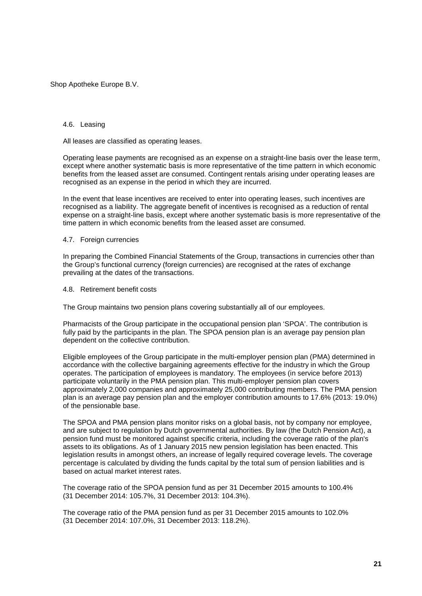#### 4.6. Leasing

All leases are classified as operating leases.

Operating lease payments are recognised as an expense on a straight-line basis over the lease term, except where another systematic basis is more representative of the time pattern in which economic benefits from the leased asset are consumed. Contingent rentals arising under operating leases are recognised as an expense in the period in which they are incurred.

In the event that lease incentives are received to enter into operating leases, such incentives are recognised as a liability. The aggregate benefit of incentives is recognised as a reduction of rental expense on a straight-line basis, except where another systematic basis is more representative of the time pattern in which economic benefits from the leased asset are consumed.

#### 4.7. Foreign currencies

In preparing the Combined Financial Statements of the Group, transactions in currencies other than the Group's functional currency (foreign currencies) are recognised at the rates of exchange prevailing at the dates of the transactions.

4.8. Retirement benefit costs

The Group maintains two pension plans covering substantially all of our employees.

Pharmacists of the Group participate in the occupational pension plan 'SPOA'. The contribution is fully paid by the participants in the plan. The SPOA pension plan is an average pay pension plan dependent on the collective contribution.

Eligible employees of the Group participate in the multi-employer pension plan (PMA) determined in accordance with the collective bargaining agreements effective for the industry in which the Group operates. The participation of employees is mandatory. The employees (in service before 2013) participate voluntarily in the PMA pension plan. This multi-employer pension plan covers approximately 2,000 companies and approximately 25,000 contributing members. The PMA pension plan is an average pay pension plan and the employer contribution amounts to 17.6% (2013: 19.0%) of the pensionable base.

The SPOA and PMA pension plans monitor risks on a global basis, not by company nor employee, and are subject to regulation by Dutch governmental authorities. By law (the Dutch Pension Act), a pension fund must be monitored against specific criteria, including the coverage ratio of the plan's assets to its obligations. As of 1 January 2015 new pension legislation has been enacted. This legislation results in amongst others, an increase of legally required coverage levels. The coverage percentage is calculated by dividing the funds capital by the total sum of pension liabilities and is based on actual market interest rates.

The coverage ratio of the SPOA pension fund as per 31 December 2015 amounts to 100.4% (31 December 2014: 105.7%, 31 December 2013: 104.3%).

The coverage ratio of the PMA pension fund as per 31 December 2015 amounts to 102.0% (31 December 2014: 107.0%, 31 December 2013: 118.2%).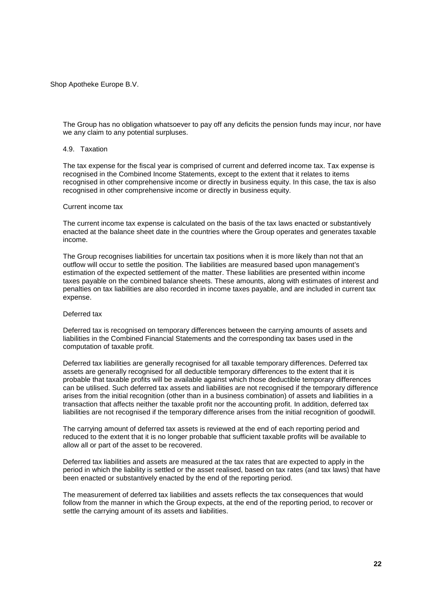The Group has no obligation whatsoever to pay off any deficits the pension funds may incur, nor have we any claim to any potential surpluses.

#### 4.9. Taxation

The tax expense for the fiscal year is comprised of current and deferred income tax. Tax expense is recognised in the Combined Income Statements, except to the extent that it relates to items recognised in other comprehensive income or directly in business equity. In this case, the tax is also recognised in other comprehensive income or directly in business equity.

#### Current income tax

The current income tax expense is calculated on the basis of the tax laws enacted or substantively enacted at the balance sheet date in the countries where the Group operates and generates taxable income.

The Group recognises liabilities for uncertain tax positions when it is more likely than not that an outflow will occur to settle the position. The liabilities are measured based upon management's estimation of the expected settlement of the matter. These liabilities are presented within income taxes payable on the combined balance sheets. These amounts, along with estimates of interest and penalties on tax liabilities are also recorded in income taxes payable, and are included in current tax expense.

#### Deferred tax

Deferred tax is recognised on temporary differences between the carrying amounts of assets and liabilities in the Combined Financial Statements and the corresponding tax bases used in the computation of taxable profit.

Deferred tax liabilities are generally recognised for all taxable temporary differences. Deferred tax assets are generally recognised for all deductible temporary differences to the extent that it is probable that taxable profits will be available against which those deductible temporary differences can be utilised. Such deferred tax assets and liabilities are not recognised if the temporary difference arises from the initial recognition (other than in a business combination) of assets and liabilities in a transaction that affects neither the taxable profit nor the accounting profit. In addition, deferred tax liabilities are not recognised if the temporary difference arises from the initial recognition of goodwill.

The carrying amount of deferred tax assets is reviewed at the end of each reporting period and reduced to the extent that it is no longer probable that sufficient taxable profits will be available to allow all or part of the asset to be recovered.

Deferred tax liabilities and assets are measured at the tax rates that are expected to apply in the period in which the liability is settled or the asset realised, based on tax rates (and tax laws) that have been enacted or substantively enacted by the end of the reporting period.

The measurement of deferred tax liabilities and assets reflects the tax consequences that would follow from the manner in which the Group expects, at the end of the reporting period, to recover or settle the carrying amount of its assets and liabilities.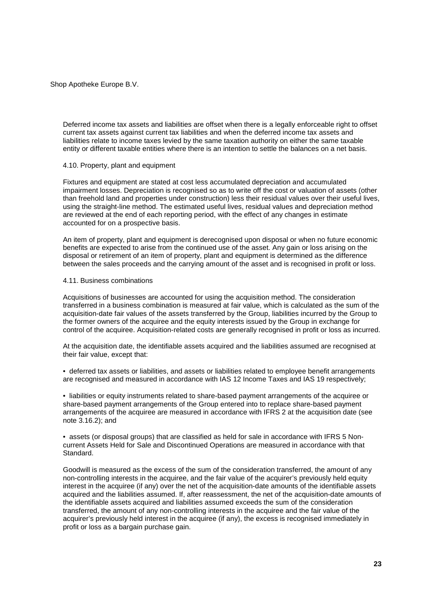Deferred income tax assets and liabilities are offset when there is a legally enforceable right to offset current tax assets against current tax liabilities and when the deferred income tax assets and liabilities relate to income taxes levied by the same taxation authority on either the same taxable entity or different taxable entities where there is an intention to settle the balances on a net basis.

#### 4.10. Property, plant and equipment

Fixtures and equipment are stated at cost less accumulated depreciation and accumulated impairment losses. Depreciation is recognised so as to write off the cost or valuation of assets (other than freehold land and properties under construction) less their residual values over their useful lives, using the straight-line method. The estimated useful lives, residual values and depreciation method are reviewed at the end of each reporting period, with the effect of any changes in estimate accounted for on a prospective basis.

An item of property, plant and equipment is derecognised upon disposal or when no future economic benefits are expected to arise from the continued use of the asset. Any gain or loss arising on the disposal or retirement of an item of property, plant and equipment is determined as the difference between the sales proceeds and the carrying amount of the asset and is recognised in profit or loss.

#### 4.11. Business combinations

Acquisitions of businesses are accounted for using the acquisition method. The consideration transferred in a business combination is measured at fair value, which is calculated as the sum of the acquisition-date fair values of the assets transferred by the Group, liabilities incurred by the Group to the former owners of the acquiree and the equity interests issued by the Group in exchange for control of the acquiree. Acquisition-related costs are generally recognised in profit or loss as incurred.

At the acquisition date, the identifiable assets acquired and the liabilities assumed are recognised at their fair value, except that:

• deferred tax assets or liabilities, and assets or liabilities related to employee benefit arrangements are recognised and measured in accordance with IAS 12 Income Taxes and IAS 19 respectively;

• liabilities or equity instruments related to share-based payment arrangements of the acquiree or share-based payment arrangements of the Group entered into to replace share-based payment arrangements of the acquiree are measured in accordance with IFRS 2 at the acquisition date (see note 3.16.2); and

• assets (or disposal groups) that are classified as held for sale in accordance with IFRS 5 Noncurrent Assets Held for Sale and Discontinued Operations are measured in accordance with that Standard.

Goodwill is measured as the excess of the sum of the consideration transferred, the amount of any non-controlling interests in the acquiree, and the fair value of the acquirer's previously held equity interest in the acquiree (if any) over the net of the acquisition-date amounts of the identifiable assets acquired and the liabilities assumed. If, after reassessment, the net of the acquisition-date amounts of the identifiable assets acquired and liabilities assumed exceeds the sum of the consideration transferred, the amount of any non-controlling interests in the acquiree and the fair value of the acquirer's previously held interest in the acquiree (if any), the excess is recognised immediately in profit or loss as a bargain purchase gain.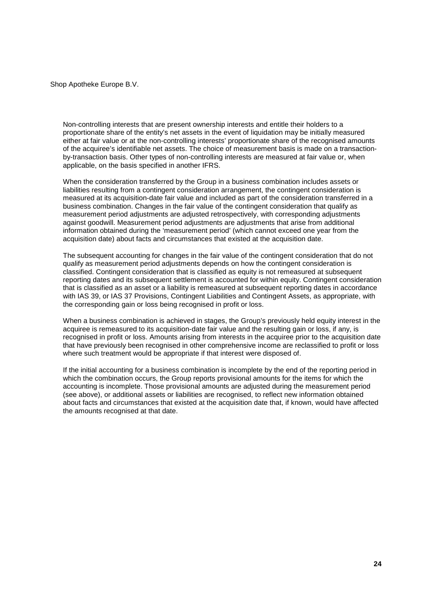Non-controlling interests that are present ownership interests and entitle their holders to a proportionate share of the entity's net assets in the event of liquidation may be initially measured either at fair value or at the non-controlling interests' proportionate share of the recognised amounts of the acquiree's identifiable net assets. The choice of measurement basis is made on a transactionby-transaction basis. Other types of non-controlling interests are measured at fair value or, when applicable, on the basis specified in another IFRS.

When the consideration transferred by the Group in a business combination includes assets or liabilities resulting from a contingent consideration arrangement, the contingent consideration is measured at its acquisition-date fair value and included as part of the consideration transferred in a business combination. Changes in the fair value of the contingent consideration that qualify as measurement period adjustments are adjusted retrospectively, with corresponding adjustments against goodwill. Measurement period adjustments are adjustments that arise from additional information obtained during the 'measurement period' (which cannot exceed one year from the acquisition date) about facts and circumstances that existed at the acquisition date.

The subsequent accounting for changes in the fair value of the contingent consideration that do not qualify as measurement period adjustments depends on how the contingent consideration is classified. Contingent consideration that is classified as equity is not remeasured at subsequent reporting dates and its subsequent settlement is accounted for within equity. Contingent consideration that is classified as an asset or a liability is remeasured at subsequent reporting dates in accordance with IAS 39, or IAS 37 Provisions, Contingent Liabilities and Contingent Assets, as appropriate, with the corresponding gain or loss being recognised in profit or loss.

When a business combination is achieved in stages, the Group's previously held equity interest in the acquiree is remeasured to its acquisition-date fair value and the resulting gain or loss, if any, is recognised in profit or loss. Amounts arising from interests in the acquiree prior to the acquisition date that have previously been recognised in other comprehensive income are reclassified to profit or loss where such treatment would be appropriate if that interest were disposed of.

If the initial accounting for a business combination is incomplete by the end of the reporting period in which the combination occurs, the Group reports provisional amounts for the items for which the accounting is incomplete. Those provisional amounts are adjusted during the measurement period (see above), or additional assets or liabilities are recognised, to reflect new information obtained about facts and circumstances that existed at the acquisition date that, if known, would have affected the amounts recognised at that date.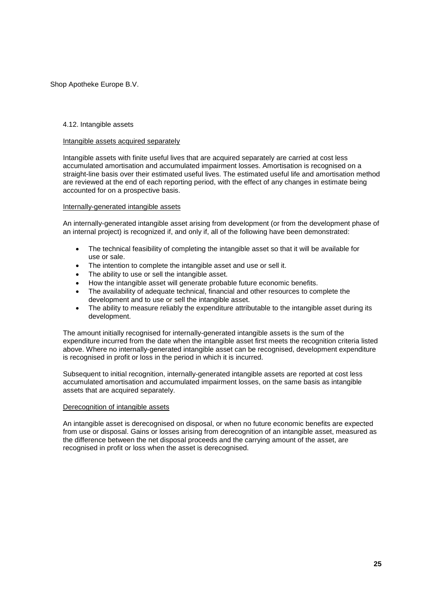#### 4.12. Intangible assets

#### Intangible assets acquired separately

Intangible assets with finite useful lives that are acquired separately are carried at cost less accumulated amortisation and accumulated impairment losses. Amortisation is recognised on a straight-line basis over their estimated useful lives. The estimated useful life and amortisation method are reviewed at the end of each reporting period, with the effect of any changes in estimate being accounted for on a prospective basis.

#### Internally-generated intangible assets

An internally-generated intangible asset arising from development (or from the development phase of an internal project) is recognized if, and only if, all of the following have been demonstrated:

- The technical feasibility of completing the intangible asset so that it will be available for use or sale.
- The intention to complete the intangible asset and use or sell it.
- The ability to use or sell the intangible asset.
- How the intangible asset will generate probable future economic benefits.
- The availability of adequate technical, financial and other resources to complete the development and to use or sell the intangible asset.
- The ability to measure reliably the expenditure attributable to the intangible asset during its development.

The amount initially recognised for internally-generated intangible assets is the sum of the expenditure incurred from the date when the intangible asset first meets the recognition criteria listed above. Where no internally-generated intangible asset can be recognised, development expenditure is recognised in profit or loss in the period in which it is incurred.

Subsequent to initial recognition, internally-generated intangible assets are reported at cost less accumulated amortisation and accumulated impairment losses, on the same basis as intangible assets that are acquired separately.

#### Derecognition of intangible assets

An intangible asset is derecognised on disposal, or when no future economic benefits are expected from use or disposal. Gains or losses arising from derecognition of an intangible asset, measured as the difference between the net disposal proceeds and the carrying amount of the asset, are recognised in profit or loss when the asset is derecognised.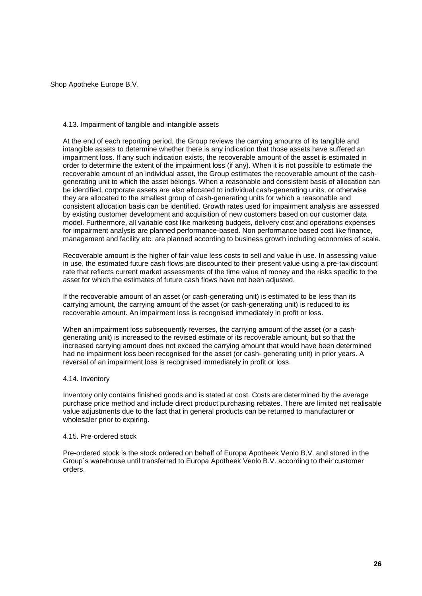#### 4.13. Impairment of tangible and intangible assets

At the end of each reporting period, the Group reviews the carrying amounts of its tangible and intangible assets to determine whether there is any indication that those assets have suffered an impairment loss. If any such indication exists, the recoverable amount of the asset is estimated in order to determine the extent of the impairment loss (if any). When it is not possible to estimate the recoverable amount of an individual asset, the Group estimates the recoverable amount of the cashgenerating unit to which the asset belongs. When a reasonable and consistent basis of allocation can be identified, corporate assets are also allocated to individual cash-generating units, or otherwise they are allocated to the smallest group of cash-generating units for which a reasonable and consistent allocation basis can be identified. Growth rates used for impairment analysis are assessed by existing customer development and acquisition of new customers based on our customer data model. Furthermore, all variable cost like marketing budgets, delivery cost and operations expenses for impairment analysis are planned performance-based. Non performance based cost like finance, management and facility etc. are planned according to business growth including economies of scale.

Recoverable amount is the higher of fair value less costs to sell and value in use. In assessing value in use, the estimated future cash flows are discounted to their present value using a pre-tax discount rate that reflects current market assessments of the time value of money and the risks specific to the asset for which the estimates of future cash flows have not been adjusted.

If the recoverable amount of an asset (or cash-generating unit) is estimated to be less than its carrying amount, the carrying amount of the asset (or cash-generating unit) is reduced to its recoverable amount. An impairment loss is recognised immediately in profit or loss.

When an impairment loss subsequently reverses, the carrying amount of the asset (or a cashgenerating unit) is increased to the revised estimate of its recoverable amount, but so that the increased carrying amount does not exceed the carrying amount that would have been determined had no impairment loss been recognised for the asset (or cash- generating unit) in prior years. A reversal of an impairment loss is recognised immediately in profit or loss.

#### 4.14. Inventory

Inventory only contains finished goods and is stated at cost. Costs are determined by the average purchase price method and include direct product purchasing rebates. There are limited net realisable value adjustments due to the fact that in general products can be returned to manufacturer or wholesaler prior to expiring.

#### 4.15. Pre-ordered stock

Pre-ordered stock is the stock ordered on behalf of Europa Apotheek Venlo B.V. and stored in the Group´s warehouse until transferred to Europa Apotheek Venlo B.V. according to their customer orders.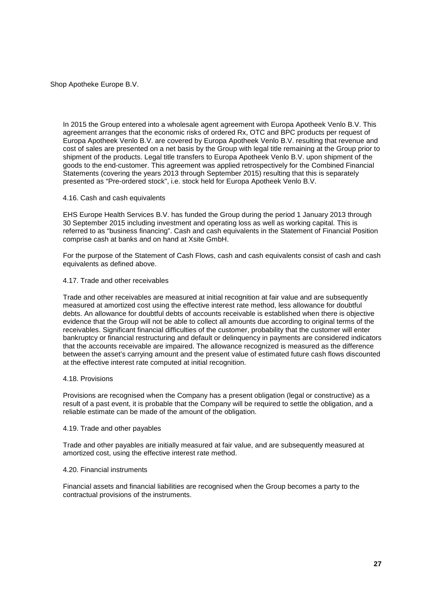In 2015 the Group entered into a wholesale agent agreement with Europa Apotheek Venlo B.V. This agreement arranges that the economic risks of ordered Rx, OTC and BPC products per request of Europa Apotheek Venlo B.V. are covered by Europa Apotheek Venlo B.V. resulting that revenue and cost of sales are presented on a net basis by the Group with legal title remaining at the Group prior to shipment of the products. Legal title transfers to Europa Apotheek Venlo B.V. upon shipment of the goods to the end-customer. This agreement was applied retrospectively for the Combined Financial Statements (covering the years 2013 through September 2015) resulting that this is separately presented as "Pre-ordered stock", i.e. stock held for Europa Apotheek Venlo B.V.

#### 4.16. Cash and cash equivalents

EHS Europe Health Services B.V. has funded the Group during the period 1 January 2013 through 30 September 2015 including investment and operating loss as well as working capital. This is referred to as "business financing". Cash and cash equivalents in the Statement of Financial Position comprise cash at banks and on hand at Xsite GmbH.

For the purpose of the Statement of Cash Flows, cash and cash equivalents consist of cash and cash equivalents as defined above.

#### 4.17. Trade and other receivables

Trade and other receivables are measured at initial recognition at fair value and are subsequently measured at amortized cost using the effective interest rate method, less allowance for doubtful debts. An allowance for doubtful debts of accounts receivable is established when there is objective evidence that the Group will not be able to collect all amounts due according to original terms of the receivables. Significant financial difficulties of the customer, probability that the customer will enter bankruptcy or financial restructuring and default or delinquency in payments are considered indicators that the accounts receivable are impaired. The allowance recognized is measured as the difference between the asset's carrying amount and the present value of estimated future cash flows discounted at the effective interest rate computed at initial recognition.

#### 4.18. Provisions

Provisions are recognised when the Company has a present obligation (legal or constructive) as a result of a past event, it is probable that the Company will be required to settle the obligation, and a reliable estimate can be made of the amount of the obligation.

#### 4.19. Trade and other payables

Trade and other payables are initially measured at fair value, and are subsequently measured at amortized cost, using the effective interest rate method.

#### 4.20. Financial instruments

Financial assets and financial liabilities are recognised when the Group becomes a party to the contractual provisions of the instruments.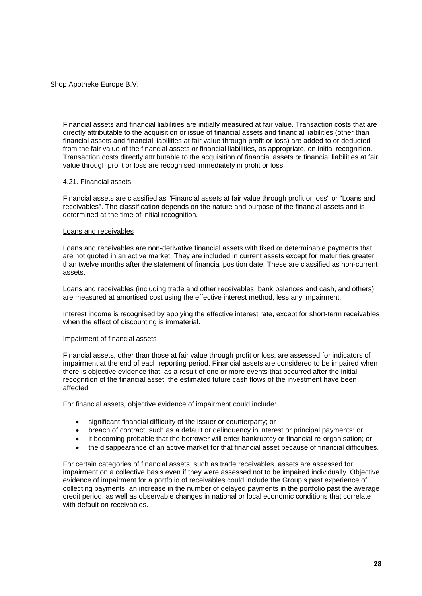Financial assets and financial liabilities are initially measured at fair value. Transaction costs that are directly attributable to the acquisition or issue of financial assets and financial liabilities (other than financial assets and financial liabilities at fair value through profit or loss) are added to or deducted from the fair value of the financial assets or financial liabilities, as appropriate, on initial recognition. Transaction costs directly attributable to the acquisition of financial assets or financial liabilities at fair value through profit or loss are recognised immediately in profit or loss.

#### 4.21. Financial assets

Financial assets are classified as "Financial assets at fair value through profit or loss" or "Loans and receivables". The classification depends on the nature and purpose of the financial assets and is determined at the time of initial recognition.

#### Loans and receivables

Loans and receivables are non-derivative financial assets with fixed or determinable payments that are not quoted in an active market. They are included in current assets except for maturities greater than twelve months after the statement of financial position date. These are classified as non-current assets.

Loans and receivables (including trade and other receivables, bank balances and cash, and others) are measured at amortised cost using the effective interest method, less any impairment.

Interest income is recognised by applying the effective interest rate, except for short-term receivables when the effect of discounting is immaterial.

### Impairment of financial assets

Financial assets, other than those at fair value through profit or loss, are assessed for indicators of impairment at the end of each reporting period. Financial assets are considered to be impaired when there is objective evidence that, as a result of one or more events that occurred after the initial recognition of the financial asset, the estimated future cash flows of the investment have been affected.

For financial assets, objective evidence of impairment could include:

- significant financial difficulty of the issuer or counterparty; or
- breach of contract, such as a default or delinquency in interest or principal payments; or
- it becoming probable that the borrower will enter bankruptcy or financial re-organisation; or
- the disappearance of an active market for that financial asset because of financial difficulties.

For certain categories of financial assets, such as trade receivables, assets are assessed for impairment on a collective basis even if they were assessed not to be impaired individually. Objective evidence of impairment for a portfolio of receivables could include the Group's past experience of collecting payments, an increase in the number of delayed payments in the portfolio past the average credit period, as well as observable changes in national or local economic conditions that correlate with default on receivables.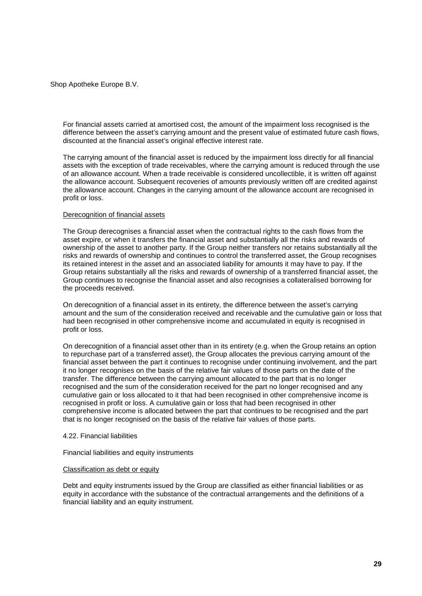For financial assets carried at amortised cost, the amount of the impairment loss recognised is the difference between the asset's carrying amount and the present value of estimated future cash flows, discounted at the financial asset's original effective interest rate.

The carrying amount of the financial asset is reduced by the impairment loss directly for all financial assets with the exception of trade receivables, where the carrying amount is reduced through the use of an allowance account. When a trade receivable is considered uncollectible, it is written off against the allowance account. Subsequent recoveries of amounts previously written off are credited against the allowance account. Changes in the carrying amount of the allowance account are recognised in profit or loss.

#### Derecognition of financial assets

The Group derecognises a financial asset when the contractual rights to the cash flows from the asset expire, or when it transfers the financial asset and substantially all the risks and rewards of ownership of the asset to another party. If the Group neither transfers nor retains substantially all the risks and rewards of ownership and continues to control the transferred asset, the Group recognises its retained interest in the asset and an associated liability for amounts it may have to pay. If the Group retains substantially all the risks and rewards of ownership of a transferred financial asset, the Group continues to recognise the financial asset and also recognises a collateralised borrowing for the proceeds received.

On derecognition of a financial asset in its entirety, the difference between the asset's carrying amount and the sum of the consideration received and receivable and the cumulative gain or loss that had been recognised in other comprehensive income and accumulated in equity is recognised in profit or loss.

On derecognition of a financial asset other than in its entirety (e.g. when the Group retains an option to repurchase part of a transferred asset), the Group allocates the previous carrying amount of the financial asset between the part it continues to recognise under continuing involvement, and the part it no longer recognises on the basis of the relative fair values of those parts on the date of the transfer. The difference between the carrying amount allocated to the part that is no longer recognised and the sum of the consideration received for the part no longer recognised and any cumulative gain or loss allocated to it that had been recognised in other comprehensive income is recognised in profit or loss. A cumulative gain or loss that had been recognised in other comprehensive income is allocated between the part that continues to be recognised and the part that is no longer recognised on the basis of the relative fair values of those parts.

#### 4.22. Financial liabilities

Financial liabilities and equity instruments

#### Classification as debt or equity

Debt and equity instruments issued by the Group are classified as either financial liabilities or as equity in accordance with the substance of the contractual arrangements and the definitions of a financial liability and an equity instrument.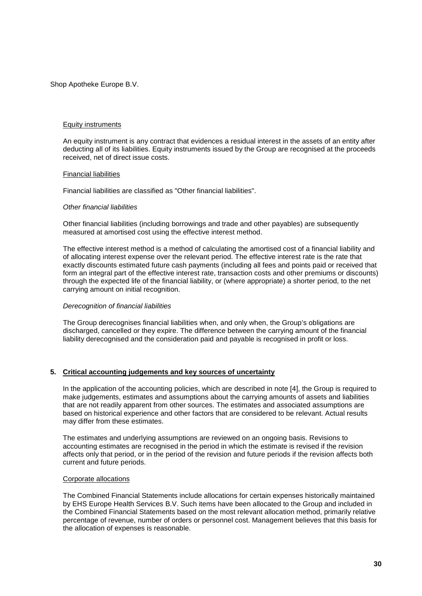#### Equity instruments

An equity instrument is any contract that evidences a residual interest in the assets of an entity after deducting all of its liabilities. Equity instruments issued by the Group are recognised at the proceeds received, net of direct issue costs.

#### Financial liabilities

Financial liabilities are classified as "Other financial liabilities".

#### *Other financial liabilities*

Other financial liabilities (including borrowings and trade and other payables) are subsequently measured at amortised cost using the effective interest method.

The effective interest method is a method of calculating the amortised cost of a financial liability and of allocating interest expense over the relevant period. The effective interest rate is the rate that exactly discounts estimated future cash payments (including all fees and points paid or received that form an integral part of the effective interest rate, transaction costs and other premiums or discounts) through the expected life of the financial liability, or (where appropriate) a shorter period, to the net carrying amount on initial recognition.

#### *Derecognition of financial liabilities*

The Group derecognises financial liabilities when, and only when, the Group's obligations are discharged, cancelled or they expire. The difference between the carrying amount of the financial liability derecognised and the consideration paid and payable is recognised in profit or loss.

#### **5. Critical accounting judgements and key sources of uncertainty**

In the application of the accounting policies, which are described in note [4], the Group is required to make judgements, estimates and assumptions about the carrying amounts of assets and liabilities that are not readily apparent from other sources. The estimates and associated assumptions are based on historical experience and other factors that are considered to be relevant. Actual results may differ from these estimates.

The estimates and underlying assumptions are reviewed on an ongoing basis. Revisions to accounting estimates are recognised in the period in which the estimate is revised if the revision affects only that period, or in the period of the revision and future periods if the revision affects both current and future periods.

#### Corporate allocations

The Combined Financial Statements include allocations for certain expenses historically maintained by EHS Europe Health Services B.V. Such items have been allocated to the Group and included in the Combined Financial Statements based on the most relevant allocation method, primarily relative percentage of revenue, number of orders or personnel cost. Management believes that this basis for the allocation of expenses is reasonable.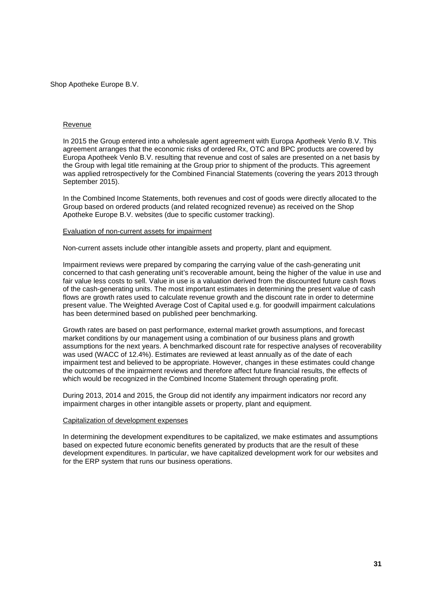#### Revenue

In 2015 the Group entered into a wholesale agent agreement with Europa Apotheek Venlo B.V. This agreement arranges that the economic risks of ordered Rx, OTC and BPC products are covered by Europa Apotheek Venlo B.V. resulting that revenue and cost of sales are presented on a net basis by the Group with legal title remaining at the Group prior to shipment of the products. This agreement was applied retrospectively for the Combined Financial Statements (covering the years 2013 through September 2015).

In the Combined Income Statements, both revenues and cost of goods were directly allocated to the Group based on ordered products (and related recognized revenue) as received on the Shop Apotheke Europe B.V. websites (due to specific customer tracking).

#### Evaluation of non-current assets for impairment

Non-current assets include other intangible assets and property, plant and equipment.

Impairment reviews were prepared by comparing the carrying value of the cash-generating unit concerned to that cash generating unit's recoverable amount, being the higher of the value in use and fair value less costs to sell. Value in use is a valuation derived from the discounted future cash flows of the cash-generating units. The most important estimates in determining the present value of cash flows are growth rates used to calculate revenue growth and the discount rate in order to determine present value. The Weighted Average Cost of Capital used e.g. for goodwill impairment calculations has been determined based on published peer benchmarking.

Growth rates are based on past performance, external market growth assumptions, and forecast market conditions by our management using a combination of our business plans and growth assumptions for the next years. A benchmarked discount rate for respective analyses of recoverability was used (WACC of 12.4%). Estimates are reviewed at least annually as of the date of each impairment test and believed to be appropriate. However, changes in these estimates could change the outcomes of the impairment reviews and therefore affect future financial results, the effects of which would be recognized in the Combined Income Statement through operating profit.

During 2013, 2014 and 2015, the Group did not identify any impairment indicators nor record any impairment charges in other intangible assets or property, plant and equipment.

#### Capitalization of development expenses

In determining the development expenditures to be capitalized, we make estimates and assumptions based on expected future economic benefits generated by products that are the result of these development expenditures. In particular, we have capitalized development work for our websites and for the ERP system that runs our business operations.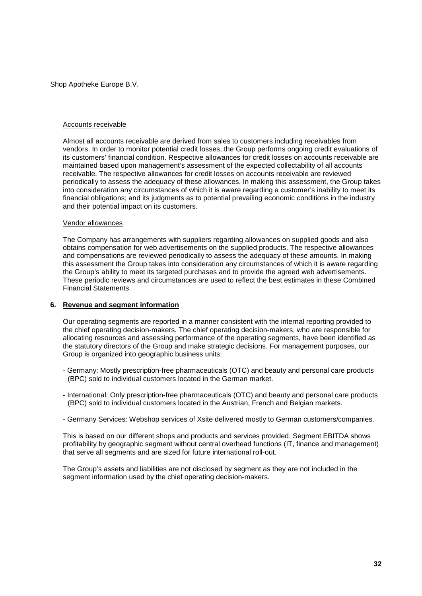#### Accounts receivable

Almost all accounts receivable are derived from sales to customers including receivables from vendors. In order to monitor potential credit losses, the Group performs ongoing credit evaluations of its customers' financial condition. Respective allowances for credit losses on accounts receivable are maintained based upon management's assessment of the expected collectability of all accounts receivable. The respective allowances for credit losses on accounts receivable are reviewed periodically to assess the adequacy of these allowances. In making this assessment, the Group takes into consideration any circumstances of which it is aware regarding a customer's inability to meet its financial obligations; and its judgments as to potential prevailing economic conditions in the industry and their potential impact on its customers.

#### Vendor allowances

The Company has arrangements with suppliers regarding allowances on supplied goods and also obtains compensation for web advertisements on the supplied products. The respective allowances and compensations are reviewed periodically to assess the adequacy of these amounts. In making this assessment the Group takes into consideration any circumstances of which it is aware regarding the Group's ability to meet its targeted purchases and to provide the agreed web advertisements. These periodic reviews and circumstances are used to reflect the best estimates in these Combined Financial Statements.

#### **6. Revenue and segment information**

Our operating segments are reported in a manner consistent with the internal reporting provided to the chief operating decision-makers. The chief operating decision-makers, who are responsible for allocating resources and assessing performance of the operating segments, have been identified as the statutory directors of the Group and make strategic decisions. For management purposes, our Group is organized into geographic business units:

- Germany: Mostly prescription-free pharmaceuticals (OTC) and beauty and personal care products (BPC) sold to individual customers located in the German market.
- International: Only prescription-free pharmaceuticals (OTC) and beauty and personal care products (BPC) sold to individual customers located in the Austrian, French and Belgian markets.
- Germany Services: Webshop services of Xsite delivered mostly to German customers/companies.

This is based on our different shops and products and services provided. Segment EBITDA shows profitability by geographic segment without central overhead functions (IT, finance and management) that serve all segments and are sized for future international roll-out.

The Group's assets and liabilities are not disclosed by segment as they are not included in the segment information used by the chief operating decision-makers.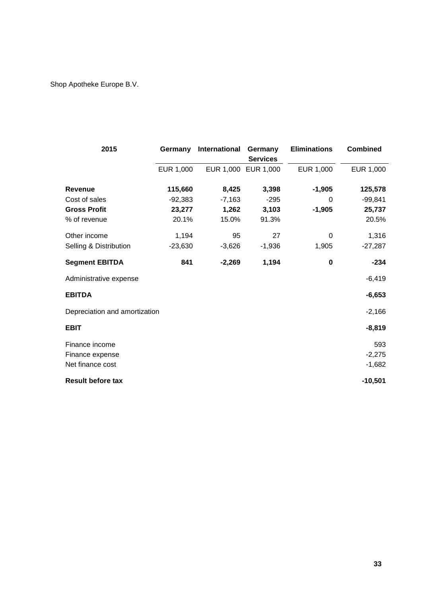| 2015                          | Germany   | International | Germany<br><b>Services</b> | <b>Eliminations</b> | <b>Combined</b> |
|-------------------------------|-----------|---------------|----------------------------|---------------------|-----------------|
|                               | EUR 1,000 |               | EUR 1,000 EUR 1,000        | EUR 1,000           | EUR 1,000       |
| <b>Revenue</b>                | 115,660   | 8,425         | 3,398                      | $-1,905$            | 125,578         |
| Cost of sales                 | $-92,383$ | $-7,163$      | $-295$                     | 0                   | $-99,841$       |
| <b>Gross Profit</b>           | 23,277    | 1,262         | 3,103                      | $-1,905$            | 25,737          |
| % of revenue                  | 20.1%     | 15.0%         | 91.3%                      |                     | 20.5%           |
| Other income                  | 1,194     | 95            | 27                         | 0                   | 1,316           |
| Selling & Distribution        | $-23,630$ | $-3,626$      | $-1,936$                   | 1,905               | $-27,287$       |
| <b>Segment EBITDA</b>         | 841       | $-2,269$      | 1,194                      | $\bf{0}$            | $-234$          |
| Administrative expense        |           |               |                            |                     | $-6,419$        |
| <b>EBITDA</b>                 |           |               |                            |                     | $-6,653$        |
| Depreciation and amortization |           |               |                            |                     | $-2,166$        |
| <b>EBIT</b>                   |           |               |                            |                     | $-8,819$        |
| Finance income                |           |               |                            |                     | 593             |
| Finance expense               |           |               |                            |                     | $-2,275$        |
| Net finance cost              |           |               |                            |                     | $-1,682$        |
| <b>Result before tax</b>      |           |               |                            |                     | $-10,501$       |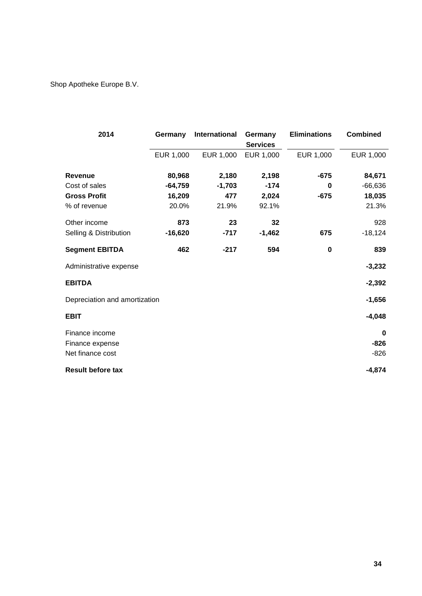| 2014                          | Germany   | International | Germany<br><b>Services</b> | <b>Eliminations</b> | <b>Combined</b> |
|-------------------------------|-----------|---------------|----------------------------|---------------------|-----------------|
|                               | EUR 1,000 | EUR 1,000     | EUR 1,000                  | EUR 1,000           | EUR 1,000       |
| <b>Revenue</b>                | 80,968    | 2,180         | 2,198                      | $-675$              | 84,671          |
| Cost of sales                 | $-64,759$ | $-1,703$      | $-174$                     | 0                   | $-66,636$       |
| <b>Gross Profit</b>           | 16,209    | 477           | 2,024                      | $-675$              | 18,035          |
| % of revenue                  | 20.0%     | 21.9%         | 92.1%                      |                     | 21.3%           |
| Other income                  | 873       | 23            | 32                         |                     | 928             |
| Selling & Distribution        | $-16,620$ | $-717$        | $-1,462$                   | 675                 | $-18,124$       |
| <b>Segment EBITDA</b>         | 462       | $-217$        | 594                        | 0                   | 839             |
| Administrative expense        |           |               |                            |                     | $-3,232$        |
| <b>EBITDA</b>                 |           |               |                            |                     | $-2,392$        |
| Depreciation and amortization |           |               |                            |                     | $-1,656$        |
| <b>EBIT</b>                   |           |               |                            |                     | $-4,048$        |
| Finance income                |           |               |                            |                     | 0               |
| Finance expense               |           |               |                            |                     | $-826$          |
| Net finance cost              |           |               |                            |                     | $-826$          |
| <b>Result before tax</b>      |           |               |                            |                     | $-4,874$        |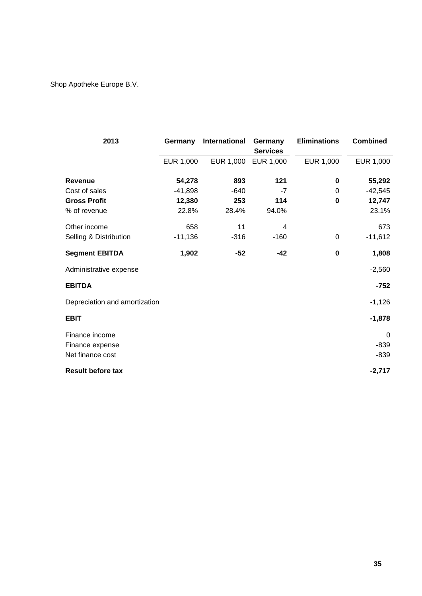| 2013                          | Germany   | International | Germany<br><b>Services</b> | <b>Eliminations</b> | <b>Combined</b> |
|-------------------------------|-----------|---------------|----------------------------|---------------------|-----------------|
|                               | EUR 1,000 | EUR 1,000     | EUR 1,000                  | EUR 1,000           | EUR 1,000       |
| <b>Revenue</b>                | 54,278    | 893           | 121                        | 0                   | 55,292          |
| Cost of sales                 | $-41,898$ | $-640$        | $-7$                       | 0                   | $-42,545$       |
| <b>Gross Profit</b>           | 12,380    | 253           | 114                        | 0                   | 12,747          |
| % of revenue                  | 22.8%     | 28.4%         | 94.0%                      |                     | 23.1%           |
| Other income                  | 658       | 11            | 4                          |                     | 673             |
| Selling & Distribution        | $-11,136$ | $-316$        | $-160$                     | 0                   | $-11,612$       |
| <b>Segment EBITDA</b>         | 1,902     | $-52$         | $-42$                      | 0                   | 1,808           |
| Administrative expense        |           |               |                            |                     | $-2,560$        |
| <b>EBITDA</b>                 |           |               |                            |                     | $-752$          |
| Depreciation and amortization |           |               |                            |                     | $-1,126$        |
| <b>EBIT</b>                   |           |               |                            |                     | $-1,878$        |
| Finance income                |           |               |                            |                     | $\Omega$        |
| Finance expense               |           |               |                            |                     | $-839$          |
| Net finance cost              |           |               |                            |                     | $-839$          |
| <b>Result before tax</b>      |           |               |                            |                     | $-2,717$        |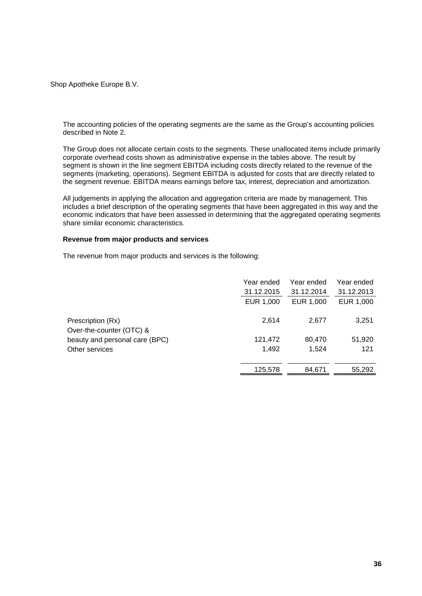The accounting policies of the operating segments are the same as the Group's accounting policies described in Note 2.

The Group does not allocate certain costs to the segments. These unallocated items include primarily corporate overhead costs shown as administrative expense in the tables above. The result by segment is shown in the line segment EBITDA including costs directly related to the revenue of the segments (marketing, operations). Segment EBITDA is adjusted for costs that are directly related to the segment revenue. EBITDA means earnings before tax, interest, depreciation and amortization.

All judgements in applying the allocation and aggregation criteria are made by management. This includes a brief description of the operating segments that have been aggregated in this way and the economic indicators that have been assessed in determining that the aggregated operating segments share similar economic characteristics.

#### **Revenue from major products and services**

The revenue from major products and services is the following:

|                                | Year ended | Year ended | Year ended |
|--------------------------------|------------|------------|------------|
|                                | 31.12.2015 | 31.12.2014 | 31.12.2013 |
|                                | EUR 1,000  | EUR 1,000  | EUR 1,000  |
| Prescription (Rx)              | 2,614      | 2,677      | 3,251      |
| Over-the-counter (OTC) &       |            |            |            |
| beauty and personal care (BPC) | 121,472    | 80,470     | 51,920     |
| Other services                 | 1.492      | 1.524      | 121        |
|                                |            |            |            |
|                                | 125,578    | 84,671     | 55,292     |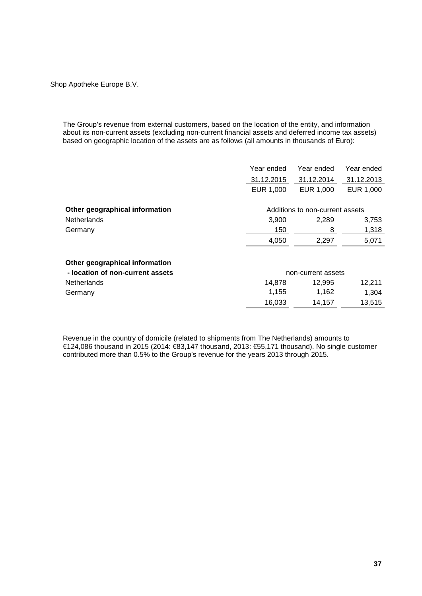The Group's revenue from external customers, based on the location of the entity, and information about its non-current assets (excluding non-current financial assets and deferred income tax assets) based on geographic location of the assets are as follows (all amounts in thousands of Euro):

|                                  | Year ended | Year ended                      | Year ended |
|----------------------------------|------------|---------------------------------|------------|
|                                  | 31.12.2015 | 31.12.2014                      | 31.12.2013 |
|                                  | EUR 1,000  | EUR 1,000                       | EUR 1,000  |
| Other geographical information   |            | Additions to non-current assets |            |
| <b>Netherlands</b>               | 3,900      | 2,289                           | 3,753      |
| Germany                          | 150        | 8                               | 1,318      |
|                                  | 4,050      | 2,297                           | 5,071      |
| Other geographical information   |            |                                 |            |
| - location of non-current assets |            | non-current assets              |            |
| <b>Netherlands</b>               | 14,878     | 12,995                          | 12,211     |
| Germany                          | 1,155      | 1,162                           | 1,304      |
|                                  | 16,033     | 14,157                          | 13,515     |

Revenue in the country of domicile (related to shipments from The Netherlands) amounts to €124,086 thousand in 2015 (2014: €83,147 thousand, 2013: €55,171 thousand). No single customer contributed more than 0.5% to the Group's revenue for the years 2013 through 2015.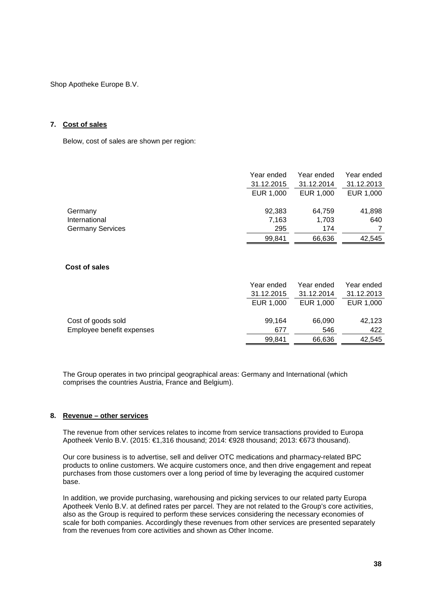#### **7. Cost of sales**

Below, cost of sales are shown per region:

|                         | Year ended | Year ended | Year ended |
|-------------------------|------------|------------|------------|
|                         | 31.12.2015 | 31.12.2014 | 31.12.2013 |
|                         | EUR 1,000  | EUR 1,000  | EUR 1,000  |
| Germany                 | 92,383     | 64,759     | 41,898     |
| International           | 7,163      | 1,703      | 640        |
| <b>Germany Services</b> | 295        | 174        |            |
|                         | 99,841     | 66,636     | 42,545     |

## **Cost of sales**

|                           | Year ended | Year ended | Year ended |
|---------------------------|------------|------------|------------|
|                           | 31.12.2015 | 31.12.2014 | 31.12.2013 |
|                           | EUR 1,000  | EUR 1,000  | EUR 1,000  |
| Cost of goods sold        | 99,164     | 66,090     | 42,123     |
| Employee benefit expenses | 677        | 546        | 422        |
|                           | 99,841     | 66,636     | 42,545     |
|                           |            |            |            |

The Group operates in two principal geographical areas: Germany and International (which comprises the countries Austria, France and Belgium).

## **8. Revenue – other services**

The revenue from other services relates to income from service transactions provided to Europa Apotheek Venlo B.V. (2015: €1,316 thousand; 2014: €928 thousand; 2013: €673 thousand).

Our core business is to advertise, sell and deliver OTC medications and pharmacy-related BPC products to online customers. We acquire customers once, and then drive engagement and repeat purchases from those customers over a long period of time by leveraging the acquired customer base.

In addition, we provide purchasing, warehousing and picking services to our related party Europa Apotheek Venlo B.V. at defined rates per parcel. They are not related to the Group's core activities, also as the Group is required to perform these services considering the necessary economies of scale for both companies. Accordingly these revenues from other services are presented separately from the revenues from core activities and shown as Other Income.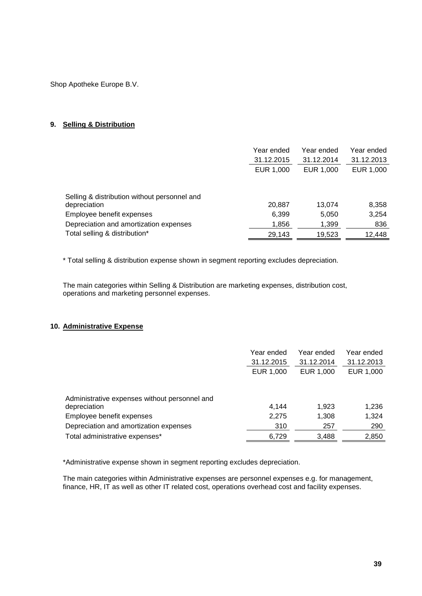## **9. Selling & Distribution**

|                                                              | Year ended<br>31.12.2015<br>EUR 1,000 | Year ended<br>31.12.2014<br>EUR 1,000 | Year ended<br>31.12.2013<br>EUR 1,000 |
|--------------------------------------------------------------|---------------------------------------|---------------------------------------|---------------------------------------|
| Selling & distribution without personnel and<br>depreciation | 20,887                                | 13,074                                | 8,358                                 |
| Employee benefit expenses                                    | 6,399                                 | 5,050                                 | 3,254                                 |
| Depreciation and amortization expenses                       | 1,856                                 | 1,399                                 | 836                                   |
| Total selling & distribution*                                | 29,143                                | 19,523                                | 12,448                                |

\* Total selling & distribution expense shown in segment reporting excludes depreciation.

The main categories within Selling & Distribution are marketing expenses, distribution cost, operations and marketing personnel expenses.

## **10. Administrative Expense**

|                                               | Year ended | Year ended | Year ended |
|-----------------------------------------------|------------|------------|------------|
|                                               | 31.12.2015 | 31.12.2014 | 31.12.2013 |
|                                               | EUR 1,000  | EUR 1,000  | EUR 1,000  |
|                                               |            |            |            |
| Administrative expenses without personnel and |            |            |            |
| depreciation                                  | 4.144      | 1.923      | 1,236      |
| Employee benefit expenses                     | 2,275      | 1,308      | 1,324      |
| Depreciation and amortization expenses        | 310        | 257        | 290        |
| Total administrative expenses*                | 6,729      | 3,488      | 2,850      |

\*Administrative expense shown in segment reporting excludes depreciation.

The main categories within Administrative expenses are personnel expenses e.g. for management, finance, HR, IT as well as other IT related cost, operations overhead cost and facility expenses.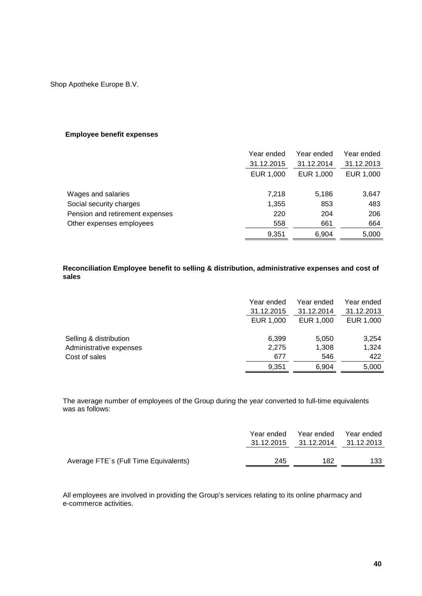## **Employee benefit expenses**

|                                 | Year ended | Year ended | Year ended |
|---------------------------------|------------|------------|------------|
|                                 | 31.12.2015 | 31.12.2014 | 31.12.2013 |
|                                 | EUR 1,000  | EUR 1,000  | EUR 1,000  |
| Wages and salaries              | 7,218      | 5,186      | 3,647      |
| Social security charges         | 1,355      | 853        | 483        |
| Pension and retirement expenses | 220        | 204        | 206        |
| Other expenses employees        | 558        | 661        | 664        |
|                                 | 9,351      | 6,904      | 5,000      |

## **Reconciliation Employee benefit to selling & distribution, administrative expenses and cost of sales**

|                         | Year ended<br>31.12.2015<br>EUR 1,000 | Year ended<br>31.12.2014<br>EUR 1,000 | Year ended<br>31.12.2013<br>EUR 1,000 |
|-------------------------|---------------------------------------|---------------------------------------|---------------------------------------|
| Selling & distribution  | 6,399                                 | 5,050                                 | 3,254                                 |
| Administrative expenses | 2,275                                 | 1,308                                 | 1,324                                 |
| Cost of sales           | 677                                   | 546                                   | 422                                   |
|                         | 9.351                                 | 6.904                                 | 5,000                                 |

The average number of employees of the Group during the year converted to full-time equivalents was as follows:

|                                       | Year ended<br>31.12.2015 | 31.12.2014 31.12.2013 | Year ended Year ended |
|---------------------------------------|--------------------------|-----------------------|-----------------------|
| Average FTE's (Full Time Equivalents) | 245                      | 182                   | 133.                  |

All employees are involved in providing the Group's services relating to its online pharmacy and e-commerce activities.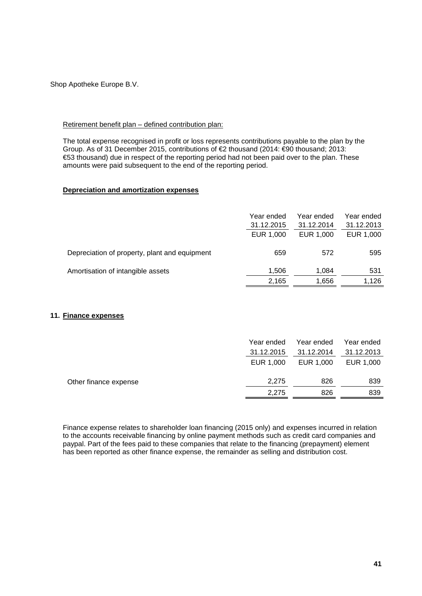#### Retirement benefit plan – defined contribution plan:

The total expense recognised in profit or loss represents contributions payable to the plan by the Group. As of 31 December 2015, contributions of €2 thousand (2014: €90 thousand; 2013: €53 thousand) due in respect of the reporting period had not been paid over to the plan. These amounts were paid subsequent to the end of the reporting period.

#### **Depreciation and amortization expenses**

|                                               | Year ended<br>31.12.2015 | Year ended<br>31.12.2014 | Year ended<br>31.12.2013 |
|-----------------------------------------------|--------------------------|--------------------------|--------------------------|
|                                               | EUR 1,000                | EUR 1,000                | EUR 1,000                |
| Depreciation of property, plant and equipment | 659                      | 572                      | 595                      |
| Amortisation of intangible assets             | 1,506                    | 1.084                    | 531                      |
|                                               | 2,165                    | 1,656                    | 1,126                    |

#### **11. Finance expenses**

|                       | Year ended<br>31.12.2015 | Year ended<br>31.12.2014 | Year ended<br>31.12.2013 |
|-----------------------|--------------------------|--------------------------|--------------------------|
|                       | EUR 1,000                | EUR 1,000                | EUR 1,000                |
| Other finance expense | 2,275                    | 826                      | 839                      |
|                       | 2,275                    | 826                      | 839                      |

Finance expense relates to shareholder loan financing (2015 only) and expenses incurred in relation to the accounts receivable financing by online payment methods such as credit card companies and paypal. Part of the fees paid to these companies that relate to the financing (prepayment) element has been reported as other finance expense, the remainder as selling and distribution cost.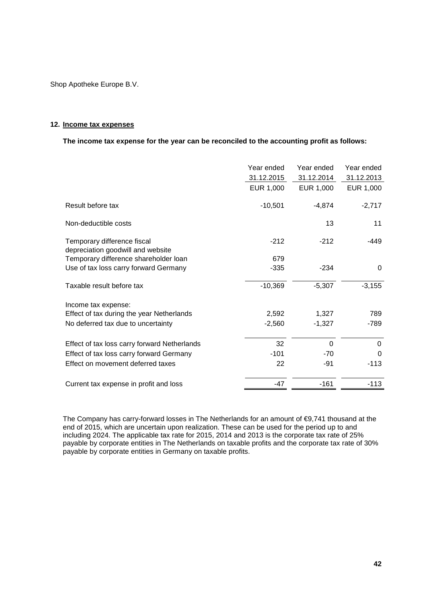#### **12. Income tax expenses**

#### **The income tax expense for the year can be reconciled to the accounting profit as follows:**

|                                                                  | Year ended | Year ended     | Year ended |
|------------------------------------------------------------------|------------|----------------|------------|
|                                                                  | 31.12.2015 | 31.12.2014     | 31.12.2013 |
|                                                                  | EUR 1,000  | EUR 1,000      | EUR 1,000  |
| Result before tax                                                | $-10,501$  | $-4,874$       | $-2,717$   |
| Non-deductible costs                                             |            | 13             | 11         |
| Temporary difference fiscal<br>depreciation goodwill and website | $-212$     | $-212$         | -449       |
| Temporary difference shareholder loan                            | 679        |                |            |
| Use of tax loss carry forward Germany                            | $-335$     | $-234$         | 0          |
| Taxable result before tax                                        | $-10,369$  | $-5,307$       | $-3,155$   |
| Income tax expense:                                              |            |                |            |
| Effect of tax during the year Netherlands                        | 2,592      | 1,327          | 789        |
| No deferred tax due to uncertainty                               | $-2,560$   | $-1,327$       | $-789$     |
| Effect of tax loss carry forward Netherlands                     | 32         | $\overline{0}$ | 0          |
| Effect of tax loss carry forward Germany                         | $-101$     | $-70$          | 0          |
| Effect on movement deferred taxes                                | 22         | $-91$          | $-113$     |
| Current tax expense in profit and loss                           | $-47$      | $-161$         | $-113$     |
|                                                                  |            |                |            |

The Company has carry-forward losses in The Netherlands for an amount of €9,741 thousand at the end of 2015, which are uncertain upon realization. These can be used for the period up to and including 2024. The applicable tax rate for 2015, 2014 and 2013 is the corporate tax rate of 25% payable by corporate entities in The Netherlands on taxable profits and the corporate tax rate of 30% payable by corporate entities in Germany on taxable profits.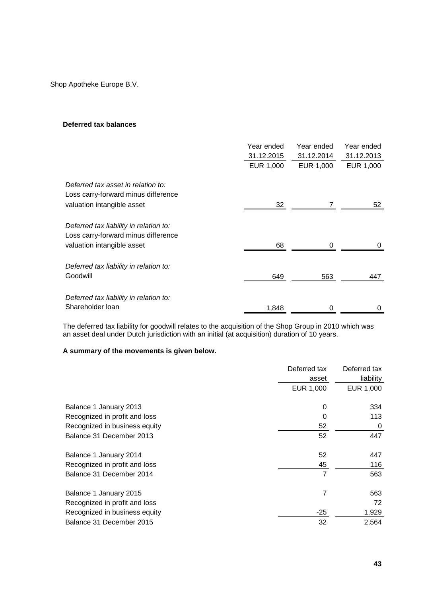## **Deferred tax balances**

|                                                                               | Year ended | Year ended | Year ended |
|-------------------------------------------------------------------------------|------------|------------|------------|
|                                                                               | 31.12.2015 | 31.12.2014 | 31.12.2013 |
|                                                                               | EUR 1,000  | EUR 1,000  | EUR 1,000  |
| Deferred tax asset in relation to:                                            |            |            |            |
| Loss carry-forward minus difference                                           |            |            |            |
| valuation intangible asset                                                    | 32         |            | 52         |
| Deferred tax liability in relation to:<br>Loss carry-forward minus difference |            |            |            |
| valuation intangible asset                                                    | 68         |            |            |
| Deferred tax liability in relation to:                                        |            |            |            |
| Goodwill                                                                      | 649        | 563        | 447        |
| Deferred tax liability in relation to:                                        |            |            |            |
| Shareholder loan                                                              | 1,848      |            |            |

The deferred tax liability for goodwill relates to the acquisition of the Shop Group in 2010 which was an asset deal under Dutch jurisdiction with an initial (at acquisition) duration of 10 years.

## **A summary of the movements is given below.**

|                               | Deferred tax   | Deferred tax |
|-------------------------------|----------------|--------------|
|                               | asset          | liability    |
|                               | EUR 1,000      | EUR 1,000    |
| Balance 1 January 2013        | 0              | 334          |
| Recognized in profit and loss | 0              | 113          |
| Recognized in business equity | 52             | 0            |
| Balance 31 December 2013      | 52             | 447          |
| Balance 1 January 2014        | 52             | 447          |
| Recognized in profit and loss | 45             | 116          |
| Balance 31 December 2014      | $\overline{7}$ | 563          |
| Balance 1 January 2015        | 7              | 563          |
| Recognized in profit and loss |                | 72           |
| Recognized in business equity | -25            | 1,929        |
| Balance 31 December 2015      | 32             | 2,564        |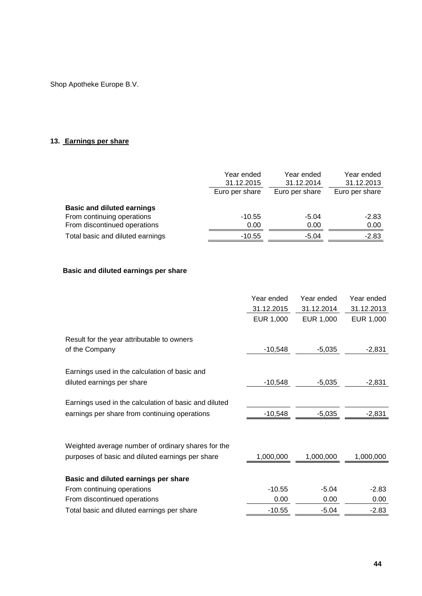# **13. Earnings per share**

|                                   | Year ended<br>31.12.2015 | Year ended<br>31.12.2014 | Year ended<br>31.12.2013 |
|-----------------------------------|--------------------------|--------------------------|--------------------------|
|                                   | Euro per share           | Euro per share           | Euro per share           |
| <b>Basic and diluted earnings</b> |                          |                          |                          |
| From continuing operations        | $-10.55$                 | $-5.04$                  | $-2.83$                  |
| From discontinued operations      | 0.00                     | 0.00                     | 0.00                     |
| Total basic and diluted earnings  | $-10.55$                 | $-5.04$                  | $-2.83$                  |

## **Basic and diluted earnings per share**

|                                                                                                        | Year ended<br>31.12.2015<br>EUR 1,000 | Year ended<br>31.12.2014<br>EUR 1,000 | Year ended<br>31.12.2013<br>EUR 1,000 |
|--------------------------------------------------------------------------------------------------------|---------------------------------------|---------------------------------------|---------------------------------------|
| Result for the year attributable to owners<br>of the Company                                           | $-10,548$                             | $-5,035$                              | $-2,831$                              |
|                                                                                                        |                                       |                                       |                                       |
| Earnings used in the calculation of basic and                                                          |                                       |                                       |                                       |
| diluted earnings per share                                                                             | $-10,548$                             | $-5,035$                              | -2,831                                |
| Earnings used in the calculation of basic and diluted                                                  |                                       |                                       |                                       |
| earnings per share from continuing operations                                                          | $-10,548$                             | $-5,035$                              | $-2,831$                              |
| Weighted average number of ordinary shares for the<br>purposes of basic and diluted earnings per share | 1,000,000                             | 1,000,000                             | 1,000,000                             |
| Basic and diluted earnings per share                                                                   |                                       |                                       |                                       |
| From continuing operations                                                                             | $-10.55$                              | $-5.04$                               | $-2.83$                               |
| From discontinued operations                                                                           | 0.00                                  | 0.00                                  | 0.00                                  |
| Total basic and diluted earnings per share                                                             | $-10.55$                              | $-5.04$                               | $-2.83$                               |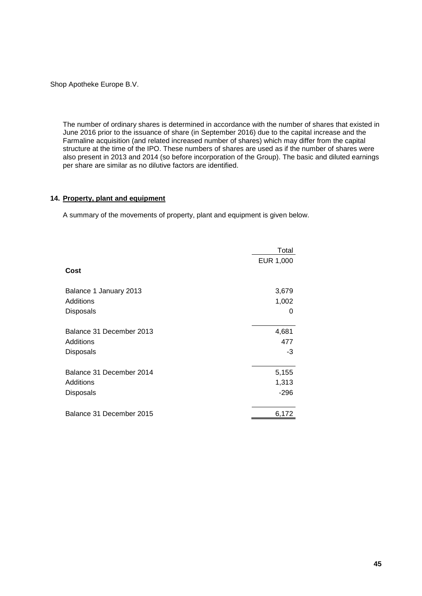The number of ordinary shares is determined in accordance with the number of shares that existed in June 2016 prior to the issuance of share (in September 2016) due to the capital increase and the Farmaline acquisition (and related increased number of shares) which may differ from the capital structure at the time of the IPO. These numbers of shares are used as if the number of shares were also present in 2013 and 2014 (so before incorporation of the Group). The basic and diluted earnings per share are similar as no dilutive factors are identified.

## **14. Property, plant and equipment**

A summary of the movements of property, plant and equipment is given below.

|                          | Total     |
|--------------------------|-----------|
|                          | EUR 1,000 |
| Cost                     |           |
| Balance 1 January 2013   | 3,679     |
| Additions                | 1,002     |
| <b>Disposals</b>         | 0         |
| Balance 31 December 2013 | 4,681     |
| Additions                | 477       |
| <b>Disposals</b>         | -3        |
| Balance 31 December 2014 | 5,155     |
| Additions                | 1,313     |
| Disposals                | $-296$    |
| Balance 31 December 2015 | 6,172     |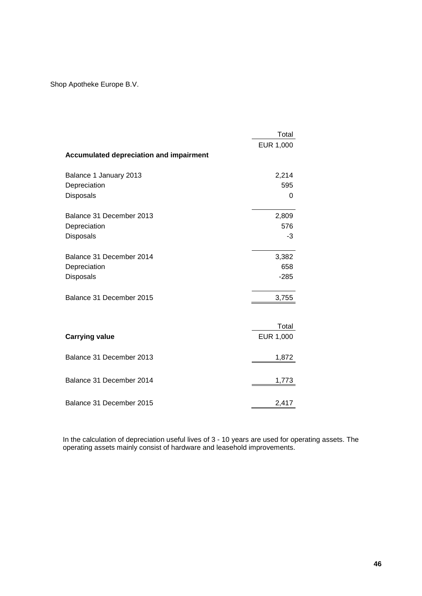|                                                | Total     |
|------------------------------------------------|-----------|
|                                                | EUR 1,000 |
| <b>Accumulated depreciation and impairment</b> |           |
| Balance 1 January 2013                         | 2,214     |
| Depreciation                                   | 595       |
| Disposals                                      | 0         |
| Balance 31 December 2013                       | 2,809     |
| Depreciation                                   | 576       |
| Disposals                                      | -3        |
| Balance 31 December 2014                       | 3,382     |
| Depreciation                                   | 658       |
| Disposals                                      | $-285$    |
| Balance 31 December 2015                       | 3,755     |
|                                                |           |
|                                                | Total     |
| <b>Carrying value</b>                          | EUR 1,000 |
| Balance 31 December 2013                       | 1,872     |
|                                                |           |
| Balance 31 December 2014                       | 1,773     |
| Balance 31 December 2015                       | 2,417     |

In the calculation of depreciation useful lives of 3 - 10 years are used for operating assets. The operating assets mainly consist of hardware and leasehold improvements.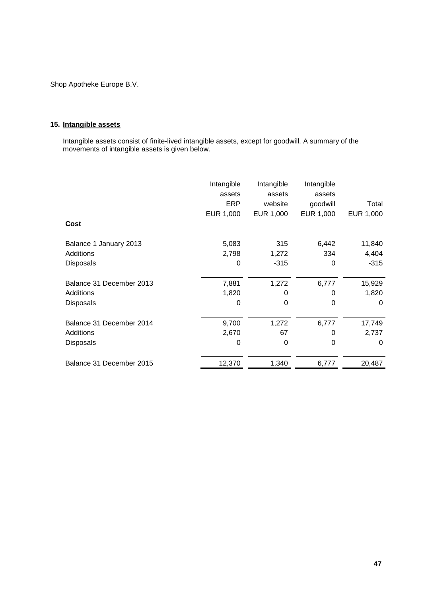## **15. Intangible assets**

Intangible assets consist of finite-lived intangible assets, except for goodwill. A summary of the movements of intangible assets is given below.

| Cost                     | Intangible<br>assets<br>ERP<br>EUR 1,000 | Intangible<br>assets<br>website<br>EUR 1,000 | Intangible<br>assets<br>goodwill<br>EUR 1,000 | Total<br>EUR 1,000 |
|--------------------------|------------------------------------------|----------------------------------------------|-----------------------------------------------|--------------------|
| Balance 1 January 2013   | 5,083                                    | 315                                          | 6,442                                         | 11,840             |
| Additions                | 2,798                                    | 1,272                                        | 334                                           | 4,404              |
| <b>Disposals</b>         | 0                                        | $-315$                                       | 0                                             | $-315$             |
| Balance 31 December 2013 | 7,881                                    | 1,272                                        | 6,777                                         | 15,929             |
| Additions                | 1,820                                    | 0                                            | 0                                             | 1,820              |
| <b>Disposals</b>         | 0                                        | 0                                            | 0                                             | 0                  |
| Balance 31 December 2014 | 9,700                                    | 1,272                                        | 6,777                                         | 17,749             |
| Additions                | 2,670                                    | 67                                           | 0                                             | 2,737              |
| <b>Disposals</b>         | 0                                        | 0                                            | 0                                             | 0                  |
| Balance 31 December 2015 | 12,370                                   | 1,340                                        | 6,777                                         | 20,487             |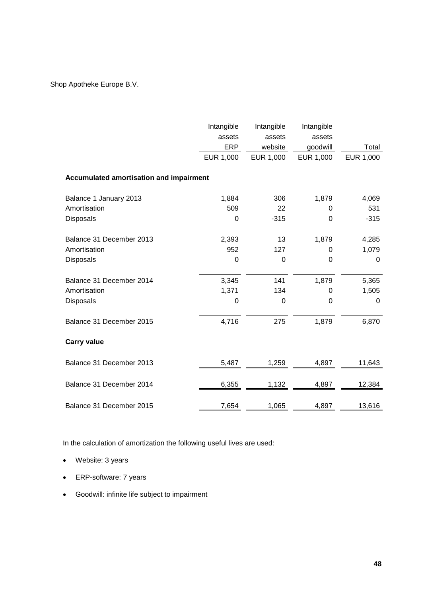|                                         | Intangible  | Intangible       | Intangible  |             |
|-----------------------------------------|-------------|------------------|-------------|-------------|
|                                         | assets      | assets           | assets      |             |
|                                         | <b>ERP</b>  | website          | goodwill    | Total       |
|                                         | EUR 1,000   | EUR 1,000        | EUR 1,000   | EUR 1,000   |
| Accumulated amortisation and impairment |             |                  |             |             |
| Balance 1 January 2013                  | 1,884       | 306              | 1,879       | 4,069       |
| Amortisation                            | 509         | 22               | 0           | 531         |
| <b>Disposals</b>                        | 0           | $-315$           | 0           | $-315$      |
| Balance 31 December 2013                | 2,393       | 13               | 1,879       | 4,285       |
| Amortisation                            | 952         | 127              | 0           | 1,079       |
| Disposals                               | $\mathbf 0$ | $\boldsymbol{0}$ | $\mathbf 0$ | 0           |
| Balance 31 December 2014                | 3,345       | 141              | 1,879       | 5,365       |
| Amortisation                            | 1,371       | 134              | $\mathbf 0$ | 1,505       |
| <b>Disposals</b>                        | $\mathbf 0$ | 0                | 0           | $\mathbf 0$ |
| Balance 31 December 2015                | 4,716       | 275              | 1,879       | 6,870       |
| <b>Carry value</b>                      |             |                  |             |             |
| Balance 31 December 2013                | 5,487       | 1,259            | 4,897       | 11,643      |
| Balance 31 December 2014                | 6,355       | 1,132            | 4,897       | 12,384      |
| Balance 31 December 2015                | 7,654       | 1,065            | 4,897       | 13,616      |

In the calculation of amortization the following useful lives are used:

- Website: 3 years
- ERP-software: 7 years
- Goodwill: infinite life subject to impairment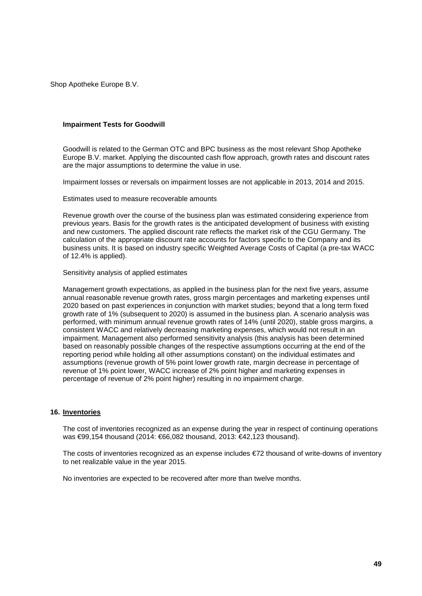#### **Impairment Tests for Goodwill**

Goodwill is related to the German OTC and BPC business as the most relevant Shop Apotheke Europe B.V. market. Applying the discounted cash flow approach, growth rates and discount rates are the major assumptions to determine the value in use.

Impairment losses or reversals on impairment losses are not applicable in 2013, 2014 and 2015.

Estimates used to measure recoverable amounts

Revenue growth over the course of the business plan was estimated considering experience from previous years. Basis for the growth rates is the anticipated development of business with existing and new customers. The applied discount rate reflects the market risk of the CGU Germany. The calculation of the appropriate discount rate accounts for factors specific to the Company and its business units. It is based on industry specific Weighted Average Costs of Capital (a pre-tax WACC of 12.4% is applied).

#### Sensitivity analysis of applied estimates

Management growth expectations, as applied in the business plan for the next five years, assume annual reasonable revenue growth rates, gross margin percentages and marketing expenses until 2020 based on past experiences in conjunction with market studies; beyond that a long term fixed growth rate of 1% (subsequent to 2020) is assumed in the business plan. A scenario analysis was performed, with minimum annual revenue growth rates of 14% (until 2020), stable gross margins, a consistent WACC and relatively decreasing marketing expenses, which would not result in an impairment. Management also performed sensitivity analysis (this analysis has been determined based on reasonably possible changes of the respective assumptions occurring at the end of the reporting period while holding all other assumptions constant) on the individual estimates and assumptions (revenue growth of 5% point lower growth rate, margin decrease in percentage of revenue of 1% point lower, WACC increase of 2% point higher and marketing expenses in percentage of revenue of 2% point higher) resulting in no impairment charge.

#### **16. Inventories**

The cost of inventories recognized as an expense during the year in respect of continuing operations was €99,154 thousand (2014: €66,082 thousand, 2013: €42,123 thousand).

The costs of inventories recognized as an expense includes €72 thousand of write-downs of inventory to net realizable value in the year 2015.

No inventories are expected to be recovered after more than twelve months.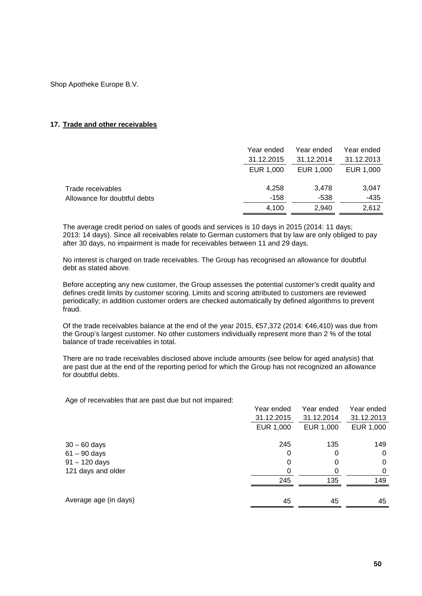#### **17. Trade and other receivables**

|                              | Year ended | Year ended | Year ended |
|------------------------------|------------|------------|------------|
|                              | 31.12.2015 | 31.12.2014 | 31.12.2013 |
|                              | EUR 1,000  | EUR 1,000  | EUR 1,000  |
| Trade receivables            | 4.258      | 3.478      | 3,047      |
| Allowance for doubtful debts | $-158$     | $-538$     | -435       |
|                              | 4,100      | 2.940      | 2.612      |

The average credit period on sales of goods and services is 10 days in 2015 (2014: 11 days; 2013: 14 days). Since all receivables relate to German customers that by law are only obliged to pay after 30 days, no impairment is made for receivables between 11 and 29 days.

No interest is charged on trade receivables. The Group has recognised an allowance for doubtful debt as stated above.

Before accepting any new customer, the Group assesses the potential customer's credit quality and defines credit limits by customer scoring. Limits and scoring attributed to customers are reviewed periodically; in addition customer orders are checked automatically by defined algorithms to prevent fraud.

Of the trade receivables balance at the end of the year 2015, €57,372 (2014: €46,410) was due from the Group's largest customer. No other customers individually represent more than 2 % of the total balance of trade receivables in total.

There are no trade receivables disclosed above include amounts (see below for aged analysis) that are past due at the end of the reporting period for which the Group has not recognized an allowance for doubtful debts.

Age of receivables that are past due but not impaired:

|                       | Year ended | Year ended | Year ended |
|-----------------------|------------|------------|------------|
|                       | 31.12.2015 | 31.12.2014 | 31.12.2013 |
|                       | EUR 1,000  | EUR 1,000  | EUR 1,000  |
| $30 - 60$ days        | 245        | 135        | 149        |
| $61 - 90$ days        | 0          |            | 0          |
| $91 - 120$ days       | 0          |            | 0          |
| 121 days and older    |            |            | 0          |
|                       | 245        | 135        | 149        |
| Average age (in days) | 45         | 45         | 45         |
|                       |            |            |            |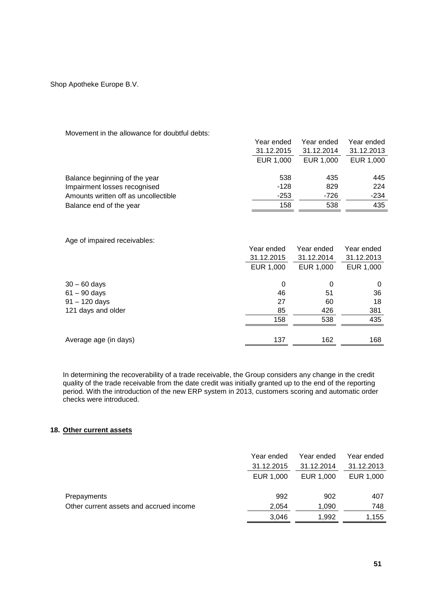Movement in the allowance for doubtful debts:

|                                      | Year ended | Year ended | Year ended |
|--------------------------------------|------------|------------|------------|
|                                      | 31.12.2015 | 31.12.2014 | 31.12.2013 |
|                                      | EUR 1,000  | EUR 1,000  | EUR 1,000  |
| Balance beginning of the year        | 538        | 435        | 445        |
| Impairment losses recognised         | $-128$     | 829        | 224        |
| Amounts written off as uncollectible | $-253$     | $-726$     | $-234$     |
| Balance end of the year              | 158        | 538        | 435        |

Age of impaired receivables:

|                       | Year ended | Year ended | Year ended |
|-----------------------|------------|------------|------------|
|                       | 31.12.2015 | 31.12.2014 | 31.12.2013 |
|                       | EUR 1,000  | EUR 1,000  | EUR 1,000  |
| $30 - 60$ days        | 0          | 0          | 0          |
| $61 - 90$ days        | 46         | 51         | 36         |
| $91 - 120$ days       | 27         | 60         | 18         |
| 121 days and older    | 85         | 426        | 381        |
|                       | 158        | 538        | 435        |
|                       |            |            |            |
| Average age (in days) | 137        | 162        | 168        |

In determining the recoverability of a trade receivable, the Group considers any change in the credit quality of the trade receivable from the date credit was initially granted up to the end of the reporting period. With the introduction of the new ERP system in 2013, customers scoring and automatic order checks were introduced.

## **18. Other current assets**

|                                         | Year ended | Year ended | Year ended |
|-----------------------------------------|------------|------------|------------|
|                                         | 31.12.2015 | 31.12.2014 | 31.12.2013 |
|                                         | EUR 1,000  | EUR 1,000  | EUR 1,000  |
| Prepayments                             | 992        | 902        | 407        |
| Other current assets and accrued income | 2,054      | 1,090      | 748        |
|                                         | 3,046      | 1,992      | 1,155      |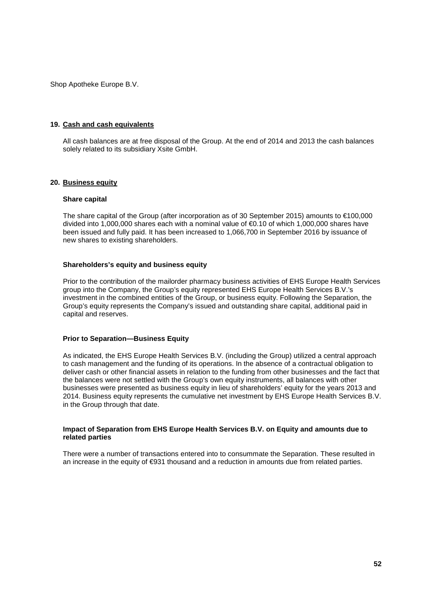#### **19. Cash and cash equivalents**

All cash balances are at free disposal of the Group. At the end of 2014 and 2013 the cash balances solely related to its subsidiary Xsite GmbH.

#### **20. Business equity**

#### **Share capital**

The share capital of the Group (after incorporation as of 30 September 2015) amounts to €100,000 divided into 1,000,000 shares each with a nominal value of €0.10 of which 1,000,000 shares have been issued and fully paid. It has been increased to 1,066,700 in September 2016 by issuance of new shares to existing shareholders.

#### **Shareholders's equity and business equity**

Prior to the contribution of the mailorder pharmacy business activities of EHS Europe Health Services group into the Company, the Group's equity represented EHS Europe Health Services B.V.'s investment in the combined entities of the Group, or business equity. Following the Separation, the Group's equity represents the Company's issued and outstanding share capital, additional paid in capital and reserves.

#### **Prior to Separation—Business Equity**

As indicated, the EHS Europe Health Services B.V. (including the Group) utilized a central approach to cash management and the funding of its operations. In the absence of a contractual obligation to deliver cash or other financial assets in relation to the funding from other businesses and the fact that the balances were not settled with the Group's own equity instruments, all balances with other businesses were presented as business equity in lieu of shareholders' equity for the years 2013 and 2014. Business equity represents the cumulative net investment by EHS Europe Health Services B.V. in the Group through that date.

#### **Impact of Separation from EHS Europe Health Services B.V. on Equity and amounts due to related parties**

There were a number of transactions entered into to consummate the Separation. These resulted in an increase in the equity of €931 thousand and a reduction in amounts due from related parties.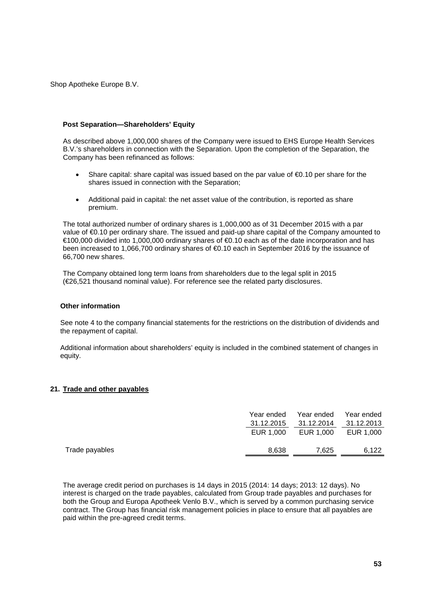## **Post Separation—Shareholders' Equity**

As described above 1,000,000 shares of the Company were issued to EHS Europe Health Services B.V.'s shareholders in connection with the Separation. Upon the completion of the Separation, the Company has been refinanced as follows:

- Share capital: share capital was issued based on the par value of €0.10 per share for the shares issued in connection with the Separation;
- Additional paid in capital: the net asset value of the contribution, is reported as share premium.

The total authorized number of ordinary shares is 1,000,000 as of 31 December 2015 with a par value of €0.10 per ordinary share. The issued and paid-up share capital of the Company amounted to €100,000 divided into 1,000,000 ordinary shares of €0.10 each as of the date incorporation and has been increased to 1,066,700 ordinary shares of €0.10 each in September 2016 by the issuance of 66,700 new shares.

The Company obtained long term loans from shareholders due to the legal split in 2015 (€26,521 thousand nominal value). For reference see the related party disclosures.

#### **Other information**

See note 4 to the company financial statements for the restrictions on the distribution of dividends and the repayment of capital.

Additional information about shareholders' equity is included in the combined statement of changes in equity.

## **21. Trade and other payables**

| 31.12.2015              | 31.12.2014 | 31.12.2013 |
|-------------------------|------------|------------|
|                         |            |            |
| EUR 1.000               | EUR 1.000  | EUR 1.000  |
|                         |            |            |
| Trade payables<br>8,638 | 7.625      | 6,122      |

The average credit period on purchases is 14 days in 2015 (2014: 14 days; 2013: 12 days). No interest is charged on the trade payables, calculated from Group trade payables and purchases for both the Group and Europa Apotheek Venlo B.V., which is served by a common purchasing service contract. The Group has financial risk management policies in place to ensure that all payables are paid within the pre-agreed credit terms.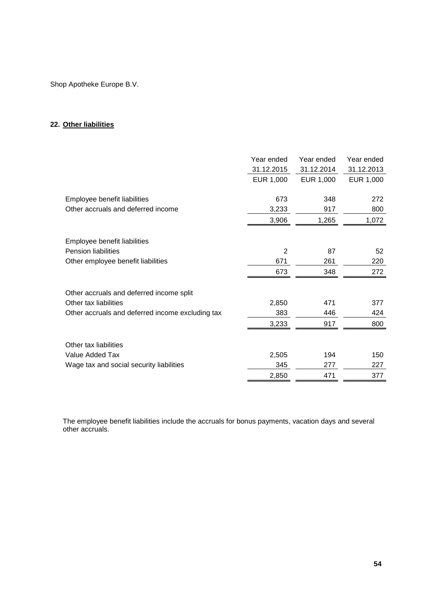## **22. Other liabilities**

|                                                  | Year ended     | Year ended | Year ended |
|--------------------------------------------------|----------------|------------|------------|
|                                                  | 31.12.2015     | 31.12.2014 | 31.12.2013 |
|                                                  | EUR 1,000      | EUR 1,000  | EUR 1,000  |
| Employee benefit liabilities                     | 673            | 348        | 272        |
| Other accruals and deferred income               | 3,233          | 917        | 800        |
|                                                  | 3,906          | 1,265      | 1,072      |
|                                                  |                |            |            |
| Employee benefit liabilities                     |                |            |            |
| <b>Pension liabilities</b>                       | $\overline{2}$ | 87         | 52         |
| Other employee benefit liabilities               | 671            | 261        | 220        |
|                                                  | 673            | 348        | 272        |
|                                                  |                |            |            |
| Other accruals and deferred income split         |                |            |            |
| Other tax liabilities                            | 2,850          | 471        | 377        |
| Other accruals and deferred income excluding tax | 383            | 446        | 424        |
|                                                  | 3,233          | 917        | 800        |
| Other tax liabilities                            |                |            |            |
|                                                  |                |            |            |
| Value Added Tax                                  | 2,505          | 194        | 150        |
| Wage tax and social security liabilities         | 345            | 277        | 227        |
|                                                  | 2,850          | 471        | 377        |

The employee benefit liabilities include the accruals for bonus payments, vacation days and several other accruals.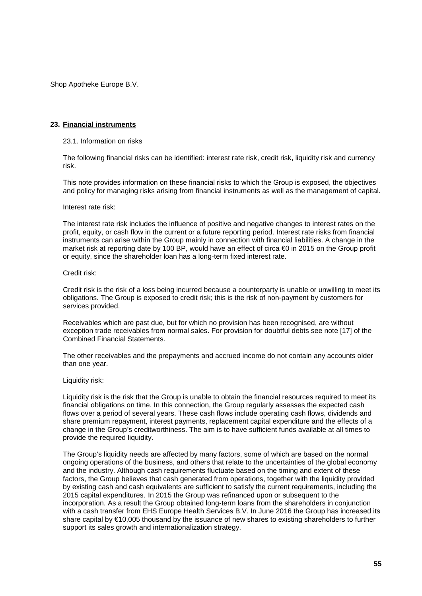#### **23. Financial instruments**

#### 23.1. Information on risks

The following financial risks can be identified: interest rate risk, credit risk, liquidity risk and currency risk.

This note provides information on these financial risks to which the Group is exposed, the objectives and policy for managing risks arising from financial instruments as well as the management of capital.

#### Interest rate risk:

The interest rate risk includes the influence of positive and negative changes to interest rates on the profit, equity, or cash flow in the current or a future reporting period. Interest rate risks from financial instruments can arise within the Group mainly in connection with financial liabilities. A change in the market risk at reporting date by 100 BP, would have an effect of circa €0 in 2015 on the Group profit or equity, since the shareholder loan has a long-term fixed interest rate.

#### Credit risk:

Credit risk is the risk of a loss being incurred because a counterparty is unable or unwilling to meet its obligations. The Group is exposed to credit risk; this is the risk of non-payment by customers for services provided.

Receivables which are past due, but for which no provision has been recognised, are without exception trade receivables from normal sales. For provision for doubtful debts see note [17] of the Combined Financial Statements.

The other receivables and the prepayments and accrued income do not contain any accounts older than one year.

#### Liquidity risk:

Liquidity risk is the risk that the Group is unable to obtain the financial resources required to meet its financial obligations on time. In this connection, the Group regularly assesses the expected cash flows over a period of several years. These cash flows include operating cash flows, dividends and share premium repayment, interest payments, replacement capital expenditure and the effects of a change in the Group's creditworthiness. The aim is to have sufficient funds available at all times to provide the required liquidity.

The Group's liquidity needs are affected by many factors, some of which are based on the normal ongoing operations of the business, and others that relate to the uncertainties of the global economy and the industry. Although cash requirements fluctuate based on the timing and extent of these factors, the Group believes that cash generated from operations, together with the liquidity provided by existing cash and cash equivalents are sufficient to satisfy the current requirements, including the 2015 capital expenditures. In 2015 the Group was refinanced upon or subsequent to the incorporation. As a result the Group obtained long-term loans from the shareholders in conjunction with a cash transfer from EHS Europe Health Services B.V. In June 2016 the Group has increased its share capital by €10,005 thousand by the issuance of new shares to existing shareholders to further support its sales growth and internationalization strategy.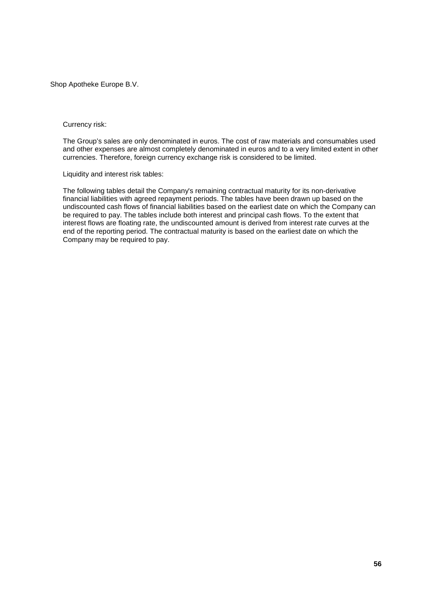#### Currency risk:

The Group's sales are only denominated in euros. The cost of raw materials and consumables used and other expenses are almost completely denominated in euros and to a very limited extent in other currencies. Therefore, foreign currency exchange risk is considered to be limited.

Liquidity and interest risk tables:

The following tables detail the Company's remaining contractual maturity for its non-derivative financial liabilities with agreed repayment periods. The tables have been drawn up based on the undiscounted cash flows of financial liabilities based on the earliest date on which the Company can be required to pay. The tables include both interest and principal cash flows. To the extent that interest flows are floating rate, the undiscounted amount is derived from interest rate curves at the end of the reporting period. The contractual maturity is based on the earliest date on which the Company may be required to pay.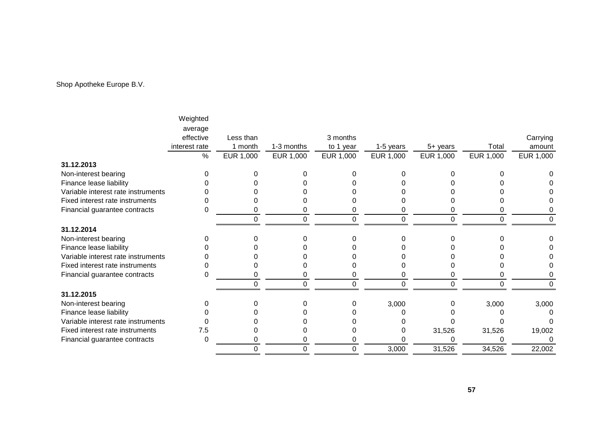|                                    | Weighted      |           |            |           |           |           |           |           |
|------------------------------------|---------------|-----------|------------|-----------|-----------|-----------|-----------|-----------|
|                                    | average       |           |            |           |           |           |           |           |
|                                    | effective     | Less than |            | 3 months  |           |           |           | Carrying  |
|                                    | interest rate | 1 month   | 1-3 months | to 1 year | 1-5 years | 5+ years  | Total     | amount    |
|                                    | $\%$          | EUR 1,000 | EUR 1,000  | EUR 1,000 | EUR 1,000 | EUR 1,000 | EUR 1,000 | EUR 1,000 |
| 31.12.2013                         |               |           |            |           |           |           |           |           |
| Non-interest bearing               |               |           |            |           |           |           |           |           |
| Finance lease liability            |               |           |            |           |           |           |           |           |
| Variable interest rate instruments |               |           |            |           |           |           |           |           |
| Fixed interest rate instruments    |               |           |            |           |           |           |           |           |
| Financial guarantee contracts      |               |           |            |           |           |           |           |           |
|                                    |               |           |            |           |           |           |           |           |
| 31.12.2014                         |               |           |            |           |           |           |           |           |
| Non-interest bearing               |               |           |            |           |           |           |           |           |
| Finance lease liability            |               |           |            |           |           |           |           |           |
| Variable interest rate instruments |               |           |            |           |           |           |           |           |
| Fixed interest rate instruments    |               |           |            |           |           |           |           |           |
| Financial guarantee contracts      |               |           |            |           |           |           |           |           |
|                                    |               |           |            |           |           |           |           |           |
| 31.12.2015                         |               |           |            |           |           |           |           |           |
| Non-interest bearing               |               |           |            |           | 3,000     | 0         | 3,000     | 3,000     |
| Finance lease liability            |               |           |            |           |           |           |           |           |
| Variable interest rate instruments |               |           |            |           |           |           |           |           |
| Fixed interest rate instruments    | 7.5           |           |            |           |           | 31,526    | 31,526    | 19,002    |
| Financial guarantee contracts      | 0             |           |            |           |           |           |           |           |
|                                    |               |           |            | 0         | 3,000     | 31,526    | 34,526    | 22,002    |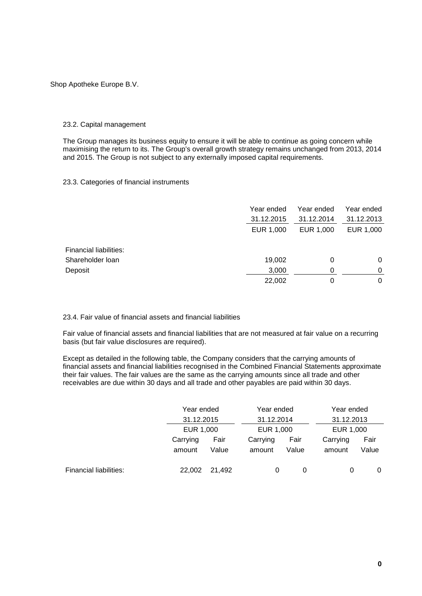#### 23.2. Capital management

The Group manages its business equity to ensure it will be able to continue as going concern while maximising the return to its. The Group's overall growth strategy remains unchanged from 2013, 2014 and 2015. The Group is not subject to any externally imposed capital requirements.

#### 23.3. Categories of financial instruments

|                               | Year ended<br>31.12.2015<br>EUR 1,000 | Year ended<br>31.12.2014<br>EUR 1,000 | Year ended<br>31.12.2013<br>EUR 1,000 |
|-------------------------------|---------------------------------------|---------------------------------------|---------------------------------------|
| <b>Financial liabilities:</b> |                                       |                                       |                                       |
| Shareholder loan              | 19,002                                | 0                                     | 0                                     |
| Deposit                       | 3,000                                 | 0                                     | 0                                     |
|                               | 22,002                                | 0                                     | 0                                     |

#### 23.4. Fair value of financial assets and financial liabilities

Fair value of financial assets and financial liabilities that are not measured at fair value on a recurring basis (but fair value disclosures are required).

Except as detailed in the following table, the Company considers that the carrying amounts of financial assets and financial liabilities recognised in the Combined Financial Statements approximate their fair values. The fair values are the same as the carrying amounts since all trade and other receivables are due within 30 days and all trade and other payables are paid within 30 days.

|                               | Year ended |            | Year ended |            | Year ended |            |
|-------------------------------|------------|------------|------------|------------|------------|------------|
|                               |            | 31.12.2015 |            | 31.12.2014 |            | 31.12.2013 |
|                               | EUR 1,000  |            | EUR 1,000  |            | EUR 1,000  |            |
|                               | Carrying   | Fair       | Carrying   | Fair       | Carrying   | Fair       |
|                               | amount     | Value      | amount     | Value      | amount     | Value      |
| <b>Financial liabilities:</b> | 22,002     | 21.492     | 0          | 0          | 0          | $\Omega$   |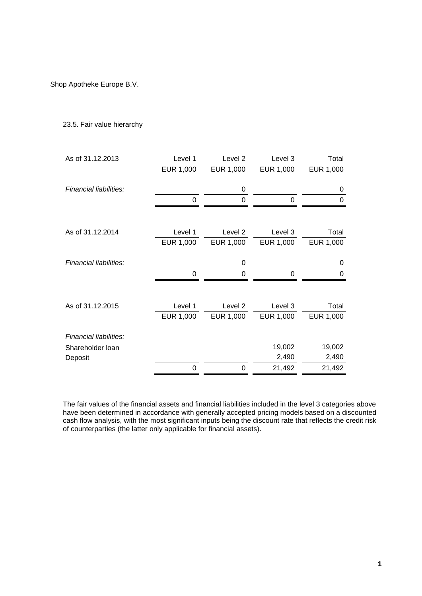23.5. Fair value hierarchy

| As of 31.12.2013       | Level 1   | Level 2            | Level 3   | Total     |
|------------------------|-----------|--------------------|-----------|-----------|
|                        | EUR 1,000 | EUR 1,000          | EUR 1,000 | EUR 1,000 |
|                        |           |                    |           |           |
| Financial liabilities: |           | 0                  |           | 0         |
|                        | 0         | $\Omega$           | 0         | $\Omega$  |
|                        |           |                    |           |           |
| As of 31.12.2014       | Level 1   | Level <sub>2</sub> | Level 3   | Total     |
|                        | EUR 1,000 | EUR 1,000          | EUR 1,000 | EUR 1,000 |
|                        |           |                    |           |           |
| Financial liabilities: |           | 0                  |           | 0         |
|                        | 0         | 0                  | 0         | 0         |
|                        |           |                    |           |           |
| As of 31.12.2015       | Level 1   | Level <sub>2</sub> | Level 3   | Total     |
|                        | EUR 1,000 | EUR 1,000          | EUR 1,000 | EUR 1,000 |
|                        |           |                    |           |           |
| Financial liabilities: |           |                    |           |           |
| Shareholder loan       |           |                    | 19,002    | 19,002    |
| Deposit                |           |                    | 2,490     | 2,490     |
|                        | 0         | 0                  | 21,492    | 21,492    |

The fair values of the financial assets and financial liabilities included in the level 3 categories above have been determined in accordance with generally accepted pricing models based on a discounted cash flow analysis, with the most significant inputs being the discount rate that reflects the credit risk of counterparties (the latter only applicable for financial assets).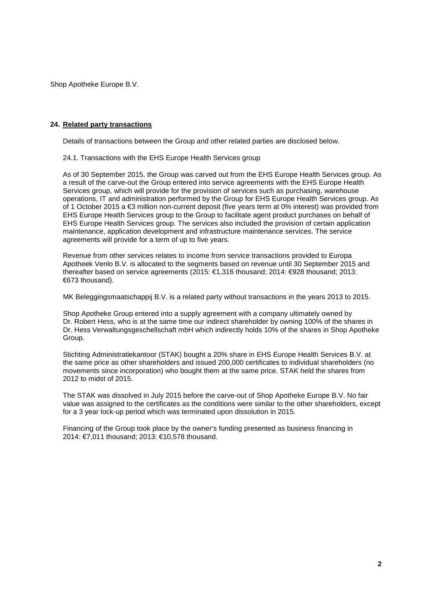#### **24. Related party transactions**

Details of transactions between the Group and other related parties are disclosed below.

24.1. Transactions with the EHS Europe Health Services group

As of 30 September 2015, the Group was carved out from the EHS Europe Health Services group. As a result of the carve-out the Group entered into service agreements with the EHS Europe Health Services group, which will provide for the provision of services such as purchasing, warehouse operations, IT and administration performed by the Group for EHS Europe Health Services group. As of 1 October 2015 a €3 million non-current deposit (five years term at 0% interest) was provided from EHS Europe Health Services group to the Group to facilitate agent product purchases on behalf of EHS Europe Health Services group. The services also included the provision of certain application maintenance, application development and infrastructure maintenance services. The service agreements will provide for a term of up to five years.

Revenue from other services relates to income from service transactions provided to Europa Apotheek Venlo B.V. is allocated to the segments based on revenue until 30 September 2015 and thereafter based on service agreements (2015: €1,316 thousand; 2014: €928 thousand; 2013: €673 thousand).

MK Beleggingsmaatschappij B.V. is a related party without transactions in the years 2013 to 2015.

Shop Apotheke Group entered into a supply agreement with a company ultimately owned by Dr. Robert Hess, who is at the same time our indirect shareholder by owning 100% of the shares in Dr. Hess Verwaltungsgeschellschaft mbH which indirectly holds 10% of the shares in Shop Apotheke Group.

Stichting Administratiekantoor (STAK) bought a 20% share in EHS Europe Health Services B.V. at the same price as other shareholders and issued 200,000 certificates to individual shareholders (no movements since incorporation) who bought them at the same price. STAK held the shares from 2012 to midst of 2015.

The STAK was dissolved in July 2015 before the carve-out of Shop Apotheke Europe B.V. No fair value was assigned to the certificates as the conditions were similar to the other shareholders, except for a 3 year lock-up period which was terminated upon dissolution in 2015.

Financing of the Group took place by the owner's funding presented as business financing in 2014: €7,011 thousand; 2013: €10,578 thousand.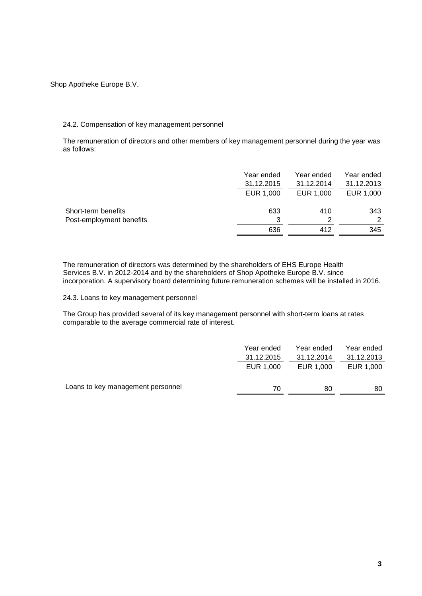#### 24.2. Compensation of key management personnel

The remuneration of directors and other members of key management personnel during the year was as follows:

|                          | Year ended | Year ended | Year ended    |
|--------------------------|------------|------------|---------------|
|                          | 31.12.2015 | 31.12.2014 | 31.12.2013    |
|                          | EUR 1,000  | EUR 1,000  | EUR 1,000     |
| Short-term benefits      | 633        | 410        | 343           |
| Post-employment benefits | 3          |            | $\mathcal{P}$ |
|                          | 636        | 412        | 345           |

The remuneration of directors was determined by the shareholders of EHS Europe Health Services B.V. in 2012-2014 and by the shareholders of Shop Apotheke Europe B.V. since incorporation. A supervisory board determining future remuneration schemes will be installed in 2016.

24.3. Loans to key management personnel

The Group has provided several of its key management personnel with short-term loans at rates comparable to the average commercial rate of interest.

| Loans to key management personnel | 70         | 80         | 80         |
|-----------------------------------|------------|------------|------------|
|                                   | EUR 1,000  | EUR 1,000  | EUR 1,000  |
|                                   | 31.12.2015 | 31.12.2014 | 31.12.2013 |
|                                   | Year ended | Year ended | Year ended |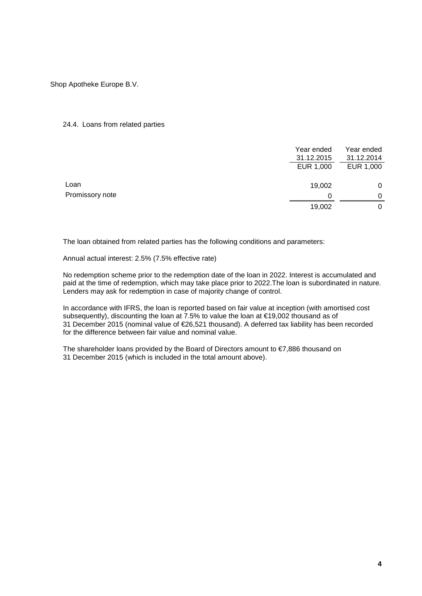24.4. Loans from related parties

|                 | Year ended<br>31.12.2015<br>EUR 1,000 | Year ended<br>31.12.2014<br>EUR 1,000 |
|-----------------|---------------------------------------|---------------------------------------|
| Loan            | 19,002                                | $\Omega$                              |
| Promissory note | 0                                     | $\Omega$                              |
|                 | 19,002                                | 0                                     |

The loan obtained from related parties has the following conditions and parameters:

Annual actual interest: 2.5% (7.5% effective rate)

No redemption scheme prior to the redemption date of the loan in 2022. Interest is accumulated and paid at the time of redemption, which may take place prior to 2022.The loan is subordinated in nature. Lenders may ask for redemption in case of majority change of control.

In accordance with IFRS, the loan is reported based on fair value at inception (with amortised cost subsequently), discounting the loan at 7.5% to value the loan at  $\epsilon$ 19,002 thousand as of 31 December 2015 (nominal value of €26,521 thousand). A deferred tax liability has been recorded for the difference between fair value and nominal value.

The shareholder loans provided by the Board of Directors amount to  $\epsilon$ 7,886 thousand on 31 December 2015 (which is included in the total amount above).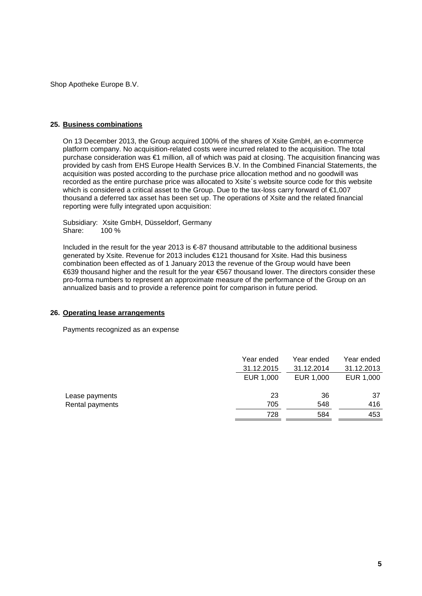#### **25. Business combinations**

On 13 December 2013, the Group acquired 100% of the shares of Xsite GmbH, an e-commerce platform company. No acquisition-related costs were incurred related to the acquisition. The total purchase consideration was €1 million, all of which was paid at closing. The acquisition financing was provided by cash from EHS Europe Health Services B.V. In the Combined Financial Statements, the acquisition was posted according to the purchase price allocation method and no goodwill was recorded as the entire purchase price was allocated to Xsite´s website source code for this website which is considered a critical asset to the Group. Due to the tax-loss carry forward of €1,007 thousand a deferred tax asset has been set up. The operations of Xsite and the related financial reporting were fully integrated upon acquisition:

Subsidiary: Xsite GmbH, Düsseldorf, Germany<br>Share: 100 % Share:

Included in the result for the year 2013 is €-87 thousand attributable to the additional business generated by Xsite. Revenue for 2013 includes €121 thousand for Xsite. Had this business combination been effected as of 1 January 2013 the revenue of the Group would have been €639 thousand higher and the result for the year €567 thousand lower. The directors consider these pro-forma numbers to represent an approximate measure of the performance of the Group on an annualized basis and to provide a reference point for comparison in future period.

#### **26. Operating lease arrangements**

Payments recognized as an expense

|                 | Year ended | Year ended | Year ended |
|-----------------|------------|------------|------------|
|                 | 31.12.2015 | 31.12.2014 | 31.12.2013 |
|                 | EUR 1,000  | EUR 1,000  | EUR 1,000  |
| Lease payments  | 23         | 36         | 37         |
| Rental payments | 705        | 548        | 416        |
|                 | 728        | 584        | 453        |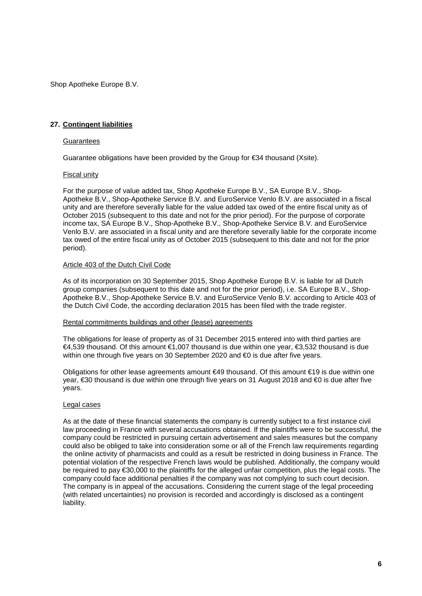## **27. Contingent liabilities**

#### **Guarantees**

Guarantee obligations have been provided by the Group for €34 thousand (Xsite).

#### Fiscal unity

For the purpose of value added tax, Shop Apotheke Europe B.V., SA Europe B.V., Shop-Apotheke B.V., Shop-Apotheke Service B.V. and EuroService Venlo B.V. are associated in a fiscal unity and are therefore severally liable for the value added tax owed of the entire fiscal unity as of October 2015 (subsequent to this date and not for the prior period). For the purpose of corporate income tax, SA Europe B.V., Shop-Apotheke B.V., Shop-Apotheke Service B.V. and EuroService Venlo B.V. are associated in a fiscal unity and are therefore severally liable for the corporate income tax owed of the entire fiscal unity as of October 2015 (subsequent to this date and not for the prior period).

#### Article 403 of the Dutch Civil Code

As of its incorporation on 30 September 2015, Shop Apotheke Europe B.V. is liable for all Dutch group companies (subsequent to this date and not for the prior period), i.e. SA Europe B.V., Shop-Apotheke B.V., Shop-Apotheke Service B.V. and EuroService Venlo B.V. according to Article 403 of the Dutch Civil Code, the according declaration 2015 has been filed with the trade register.

#### Rental commitments buildings and other (lease) agreements

The obligations for lease of property as of 31 December 2015 entered into with third parties are  $€4,539$  thousand. Of this amount  $€1,007$  thousand is due within one year,  $€3,532$  thousand is due within one through five years on 30 September 2020 and  $\bigoplus$  is due after five years.

Obligations for other lease agreements amount €49 thousand. Of this amount €19 is due within one year, €30 thousand is due within one through five years on 31 August 2018 and €0 is due after five years.

#### Legal cases

As at the date of these financial statements the company is currently subject to a first instance civil law proceeding in France with several accusations obtained. If the plaintiffs were to be successful, the company could be restricted in pursuing certain advertisement and sales measures but the company could also be obliged to take into consideration some or all of the French law requirements regarding the online activity of pharmacists and could as a result be restricted in doing business in France. The potential violation of the respective French laws would be published. Additionally, the company would be required to pay €30,000 to the plaintiffs for the alleged unfair competition, plus the legal costs. The company could face additional penalties if the company was not complying to such court decision. The company is in appeal of the accusations. Considering the current stage of the legal proceeding (with related uncertainties) no provision is recorded and accordingly is disclosed as a contingent liability.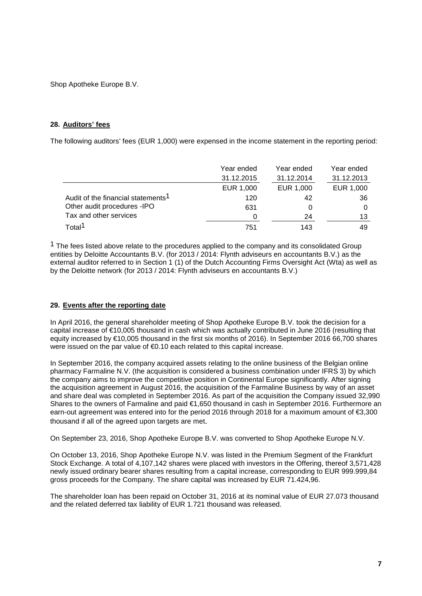## **28. Auditors' fees**

The following auditors' fees (EUR 1,000) were expensed in the income statement in the reporting period:

|                                                | Year ended | Year ended | Year ended |
|------------------------------------------------|------------|------------|------------|
|                                                | 31.12.2015 | 31.12.2014 | 31.12.2013 |
|                                                | EUR 1,000  | EUR 1,000  | EUR 1,000  |
| Audit of the financial statements <sup>1</sup> | 120        | 42         | 36         |
| Other audit procedures - IPO                   | 631        | 0          | 0          |
| Tax and other services                         | 0          | 24         | 13         |
| Total <sup>1</sup>                             | 751        | 143        | 49         |

<sup>1</sup> The fees listed above relate to the procedures applied to the company and its consolidated Group entities by Deloitte Accountants B.V. (for 2013 / 2014: Flynth adviseurs en accountants B.V.) as the external auditor referred to in Section 1 (1) of the Dutch Accounting Firms Oversight Act (Wta) as well as by the Deloitte network (for 2013 / 2014: Flynth adviseurs en accountants B.V.)

#### **29. Events after the reporting date**

In April 2016, the general shareholder meeting of Shop Apotheke Europe B.V. took the decision for a capital increase of €10,005 thousand in cash which was actually contributed in June 2016 (resulting that equity increased by €10,005 thousand in the first six months of 2016). In September 2016 66,700 shares were issued on the par value of €0.10 each related to this capital increase.

In September 2016, the company acquired assets relating to the online business of the Belgian online pharmacy Farmaline N.V. (the acquisition is considered a business combination under IFRS 3) by which the company aims to improve the competitive position in Continental Europe significantly. After signing the acquisition agreement in August 2016, the acquisition of the Farmaline Business by way of an asset and share deal was completed in September 2016. As part of the acquisition the Company issued 32,990 Shares to the owners of Farmaline and paid €1,650 thousand in cash in September 2016. Furthermore an earn-out agreement was entered into for the period 2016 through 2018 for a maximum amount of €3,300 thousand if all of the agreed upon targets are met.

On September 23, 2016, Shop Apotheke Europe B.V. was converted to Shop Apotheke Europe N.V.

On October 13, 2016, Shop Apotheke Europe N.V. was listed in the Premium Segment of the Frankfurt Stock Exchange. A total of 4,107,142 shares were placed with investors in the Offering, thereof 3,571,428 newly issued ordinary bearer shares resulting from a capital increase, corresponding to EUR 999.999,84 gross proceeds for the Company. The share capital was increased by EUR 71.424,96.

The shareholder loan has been repaid on October 31, 2016 at its nominal value of EUR 27.073 thousand and the related deferred tax liability of EUR 1.721 thousand was released.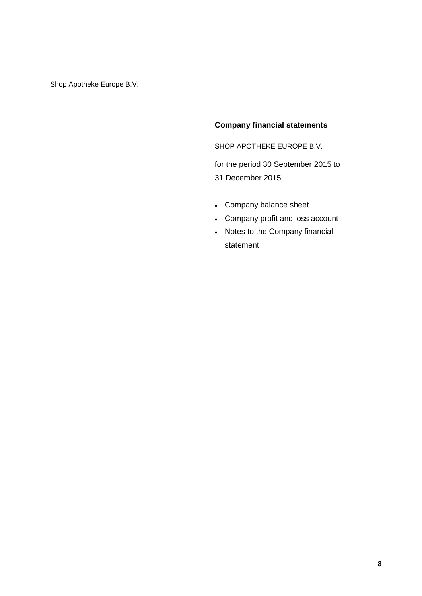## **Company financial statements**

SHOP APOTHEKE EUROPE B.V.

for the period 30 September 2015 to 31 December 2015

- Company balance sheet
- Company profit and loss account
- Notes to the Company financial statement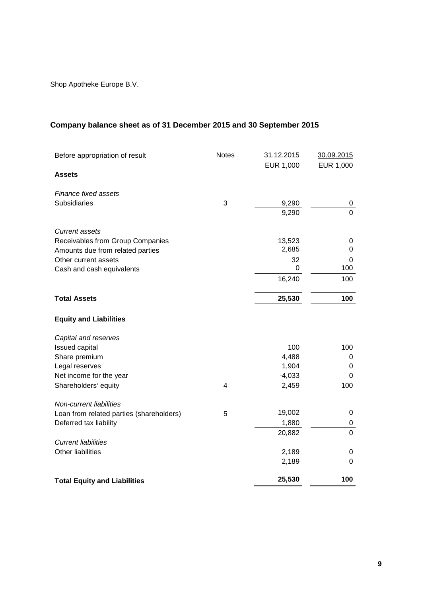# **Company balance sheet as of 31 December 2015 and 30 September 2015**

| Before appropriation of result           | <b>Notes</b> | 31.12.2015 | 30.09.2015     |
|------------------------------------------|--------------|------------|----------------|
|                                          |              | EUR 1,000  | EUR 1,000      |
| <b>Assets</b>                            |              |            |                |
| <b>Finance fixed assets</b>              |              |            |                |
| <b>Subsidiaries</b>                      | 3            | 9,290      | 0              |
|                                          |              | 9,290      | $\overline{0}$ |
| <b>Current assets</b>                    |              |            |                |
| Receivables from Group Companies         |              | 13,523     | 0              |
| Amounts due from related parties         |              | 2,685      | 0              |
| Other current assets                     |              | 32         | 0              |
| Cash and cash equivalents                |              | 0          | 100            |
|                                          |              | 16,240     | 100            |
| <b>Total Assets</b>                      |              | 25,530     | 100            |
| <b>Equity and Liabilities</b>            |              |            |                |
| Capital and reserves                     |              |            |                |
| <b>Issued capital</b>                    |              | 100        | 100            |
| Share premium                            |              | 4,488      | 0              |
| Legal reserves                           |              | 1,904      | 0              |
| Net income for the year                  |              | $-4,033$   | 0              |
| Shareholders' equity                     | 4            | 2,459      | 100            |
| Non-current liabilities                  |              |            |                |
| Loan from related parties (shareholders) | 5            | 19,002     | 0              |
| Deferred tax liability                   |              | 1,880      | 0              |
|                                          |              | 20,882     | $\overline{0}$ |
| <b>Current liabilities</b>               |              |            |                |
| <b>Other liabilities</b>                 |              | 2,189      | 0              |
|                                          |              | 2,189      | $\overline{0}$ |
| <b>Total Equity and Liabilities</b>      |              | 25,530     | 100            |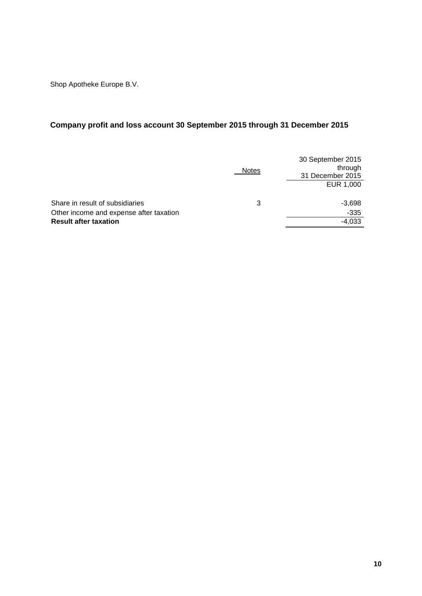# **Company profit and loss account 30 September 2015 through 31 December 2015**

|                                         | <b>Notes</b> | 30 September 2015<br>through<br>31 December 2015 |
|-----------------------------------------|--------------|--------------------------------------------------|
|                                         |              | EUR 1,000                                        |
| Share in result of subsidiaries         | 3            | $-3,698$                                         |
| Other income and expense after taxation |              | $-335$                                           |
| <b>Result after taxation</b>            |              | $-4,033$                                         |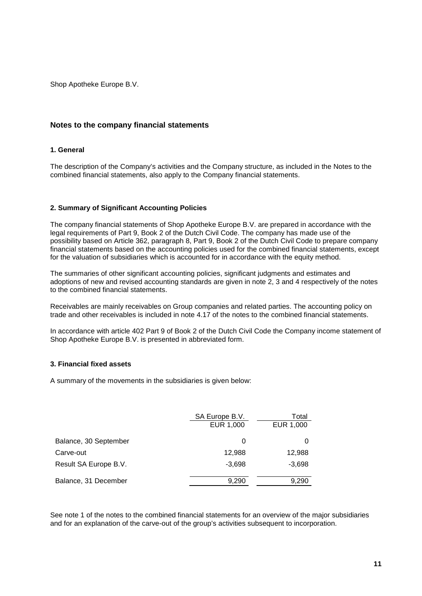# **Notes to the company financial statements**

#### **1. General**

The description of the Company's activities and the Company structure, as included in the Notes to the combined financial statements, also apply to the Company financial statements.

# **2. Summary of Significant Accounting Policies**

The company financial statements of Shop Apotheke Europe B.V. are prepared in accordance with the legal requirements of Part 9, Book 2 of the Dutch Civil Code. The company has made use of the possibility based on Article 362, paragraph 8, Part 9, Book 2 of the Dutch Civil Code to prepare company financial statements based on the accounting policies used for the combined financial statements, except for the valuation of subsidiaries which is accounted for in accordance with the equity method.

The summaries of other significant accounting policies, significant judgments and estimates and adoptions of new and revised accounting standards are given in note 2, 3 and 4 respectively of the notes to the combined financial statements.

Receivables are mainly receivables on Group companies and related parties. The accounting policy on trade and other receivables is included in note 4.17 of the notes to the combined financial statements.

In accordance with article 402 Part 9 of Book 2 of the Dutch Civil Code the Company income statement of Shop Apotheke Europe B.V. is presented in abbreviated form.

### **3. Financial fixed assets**

A summary of the movements in the subsidiaries is given below:

|                       | SA Europe B.V.<br>EUR 1,000 | Total<br>EUR 1,000 |
|-----------------------|-----------------------------|--------------------|
| Balance, 30 September | 0                           |                    |
| Carve-out             | 12,988                      | 12,988             |
| Result SA Europe B.V. | $-3.698$                    | $-3,698$           |
| Balance, 31 December  | 9.290                       | 9.290              |

See note 1 of the notes to the combined financial statements for an overview of the major subsidiaries and for an explanation of the carve-out of the group's activities subsequent to incorporation.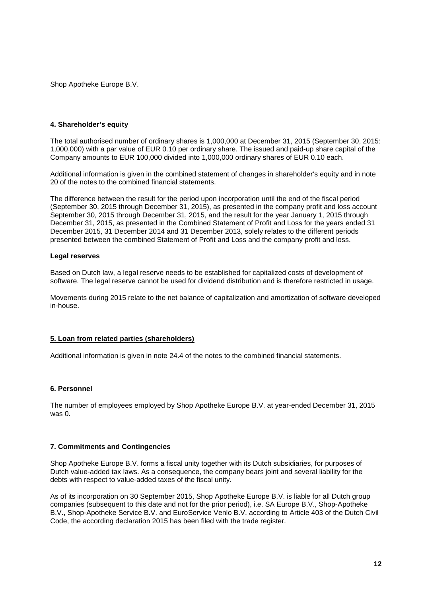### **4. Shareholder's equity**

The total authorised number of ordinary shares is 1,000,000 at December 31, 2015 (September 30, 2015: 1,000,000) with a par value of EUR 0.10 per ordinary share. The issued and paid-up share capital of the Company amounts to EUR 100,000 divided into 1,000,000 ordinary shares of EUR 0.10 each.

Additional information is given in the combined statement of changes in shareholder's equity and in note 20 of the notes to the combined financial statements.

The difference between the result for the period upon incorporation until the end of the fiscal period (September 30, 2015 through December 31, 2015), as presented in the company profit and loss account September 30, 2015 through December 31, 2015, and the result for the year January 1, 2015 through December 31, 2015, as presented in the Combined Statement of Profit and Loss for the years ended 31 December 2015, 31 December 2014 and 31 December 2013, solely relates to the different periods presented between the combined Statement of Profit and Loss and the company profit and loss.

#### **Legal reserves**

Based on Dutch law, a legal reserve needs to be established for capitalized costs of development of software. The legal reserve cannot be used for dividend distribution and is therefore restricted in usage.

Movements during 2015 relate to the net balance of capitalization and amortization of software developed in-house.

#### **5. Loan from related parties (shareholders)**

Additional information is given in note 24.4 of the notes to the combined financial statements.

#### **6. Personnel**

The number of employees employed by Shop Apotheke Europe B.V. at year-ended December 31, 2015 was 0.

#### **7. Commitments and Contingencies**

Shop Apotheke Europe B.V. forms a fiscal unity together with its Dutch subsidiaries, for purposes of Dutch value-added tax laws. As a consequence, the company bears joint and several liability for the debts with respect to value-added taxes of the fiscal unity.

As of its incorporation on 30 September 2015, Shop Apotheke Europe B.V. is liable for all Dutch group companies (subsequent to this date and not for the prior period), i.e. SA Europe B.V., Shop-Apotheke B.V., Shop-Apotheke Service B.V. and EuroService Venlo B.V. according to Article 403 of the Dutch Civil Code, the according declaration 2015 has been filed with the trade register.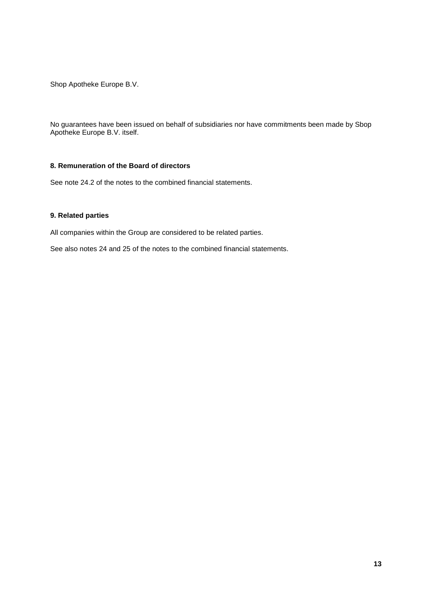No guarantees have been issued on behalf of subsidiaries nor have commitments been made by Sbop Apotheke Europe B.V. itself.

#### **8. Remuneration of the Board of directors**

See note 24.2 of the notes to the combined financial statements.

# **9. Related parties**

All companies within the Group are considered to be related parties.

See also notes 24 and 25 of the notes to the combined financial statements.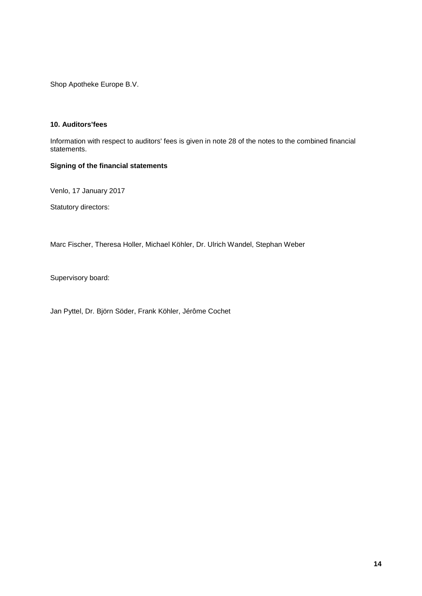# **10. Auditors'fees**

Information with respect to auditors' fees is given in note 28 of the notes to the combined financial statements.

# **Signing of the financial statements**

Venlo, 17 January 2017

Statutory directors:

Marc Fischer, Theresa Holler, Michael Köhler, Dr. Ulrich Wandel, Stephan Weber

Supervisory board:

Jan Pyttel, Dr. Björn Söder, Frank Köhler, Jérôme Cochet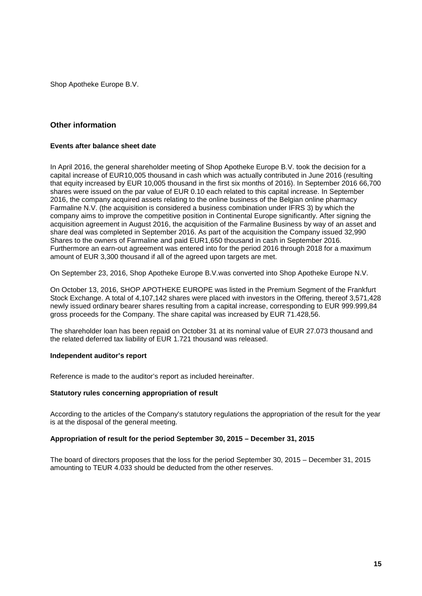# **Other information**

#### **Events after balance sheet date**

In April 2016, the general shareholder meeting of Shop Apotheke Europe B.V. took the decision for a capital increase of EUR10,005 thousand in cash which was actually contributed in June 2016 (resulting that equity increased by EUR 10,005 thousand in the first six months of 2016). In September 2016 66,700 shares were issued on the par value of EUR 0.10 each related to this capital increase. In September 2016, the company acquired assets relating to the online business of the Belgian online pharmacy Farmaline N.V. (the acquisition is considered a business combination under IFRS 3) by which the company aims to improve the competitive position in Continental Europe significantly. After signing the acquisition agreement in August 2016, the acquisition of the Farmaline Business by way of an asset and share deal was completed in September 2016. As part of the acquisition the Company issued 32,990 Shares to the owners of Farmaline and paid EUR1,650 thousand in cash in September 2016. Furthermore an earn-out agreement was entered into for the period 2016 through 2018 for a maximum amount of EUR 3,300 thousand if all of the agreed upon targets are met.

On September 23, 2016, Shop Apotheke Europe B.V.was converted into Shop Apotheke Europe N.V.

On October 13, 2016, SHOP APOTHEKE EUROPE was listed in the Premium Segment of the Frankfurt Stock Exchange. A total of 4,107,142 shares were placed with investors in the Offering, thereof 3,571,428 newly issued ordinary bearer shares resulting from a capital increase, corresponding to EUR 999.999,84 gross proceeds for the Company. The share capital was increased by EUR 71.428,56.

The shareholder loan has been repaid on October 31 at its nominal value of EUR 27.073 thousand and the related deferred tax liability of EUR 1.721 thousand was released.

#### **Independent auditor's report**

Reference is made to the auditor's report as included hereinafter.

#### **Statutory rules concerning appropriation of result**

According to the articles of the Company's statutory regulations the appropriation of the result for the year is at the disposal of the general meeting.

# **Appropriation of result for the period September 30, 2015 – December 31, 2015**

The board of directors proposes that the loss for the period September 30, 2015 – December 31, 2015 amounting to TEUR 4.033 should be deducted from the other reserves.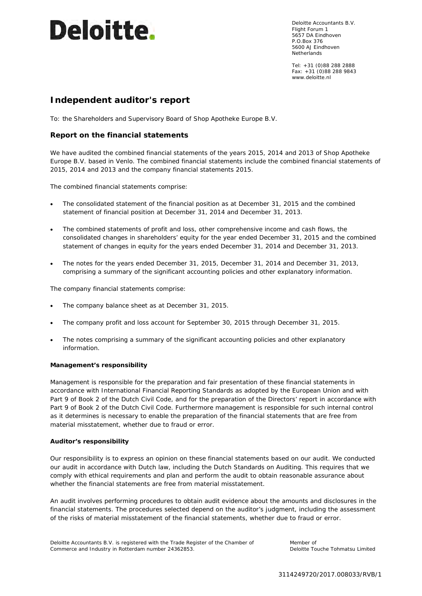# Deloitte.

Deloitte Accountants B.V. Flight Forum 1 5657 DA Eindhoven P.O.Box 376 5600 AJ Eindhoven **Netherlands** 

Tel: +31 (0)88 288 2888 Fax: +31 (0)88 288 9843 www.deloitte.nl

# **Independent auditor's report**

To: the Shareholders and Supervisory Board of Shop Apotheke Europe B.V.

# **Report on the financial statements**

We have audited the combined financial statements of the years 2015, 2014 and 2013 of Shop Apotheke Europe B.V. based in Venlo. The combined financial statements include the combined financial statements of 2015, 2014 and 2013 and the company financial statements 2015.

The combined financial statements comprise:

- The consolidated statement of the financial position as at December 31, 2015 and the combined statement of financial position at December 31, 2014 and December 31, 2013.
- The combined statements of profit and loss, other comprehensive income and cash flows, the consolidated changes in shareholders' equity for the year ended December 31, 2015 and the combined statement of changes in equity for the years ended December 31, 2014 and December 31, 2013.
- The notes for the years ended December 31, 2015, December 31, 2014 and December 31, 2013, comprising a summary of the significant accounting policies and other explanatory information.

The company financial statements comprise:

- The company balance sheet as at December 31, 2015.
- The company profit and loss account for September 30, 2015 through December 31, 2015.
- The notes comprising a summary of the significant accounting policies and other explanatory information.

#### **Management's responsibility**

Management is responsible for the preparation and fair presentation of these financial statements in accordance with International Financial Reporting Standards as adopted by the European Union and with Part 9 of Book 2 of the Dutch Civil Code, and for the preparation of the Directors' report in accordance with Part 9 of Book 2 of the Dutch Civil Code. Furthermore management is responsible for such internal control as it determines is necessary to enable the preparation of the financial statements that are free from material misstatement, whether due to fraud or error.

#### **Auditor's responsibility**

Our responsibility is to express an opinion on these financial statements based on our audit. We conducted our audit in accordance with Dutch law, including the Dutch Standards on Auditing. This requires that we comply with ethical requirements and plan and perform the audit to obtain reasonable assurance about whether the financial statements are free from material misstatement.

An audit involves performing procedures to obtain audit evidence about the amounts and disclosures in the financial statements. The procedures selected depend on the auditor's judgment, including the assessment of the risks of material misstatement of the financial statements, whether due to fraud or error.

Deloitte Accountants B.V. is registered with the Trade Register of the Chamber of Commerce and Industry in Rotterdam number 24362853.

Member of Deloitte Touche Tohmatsu Limited